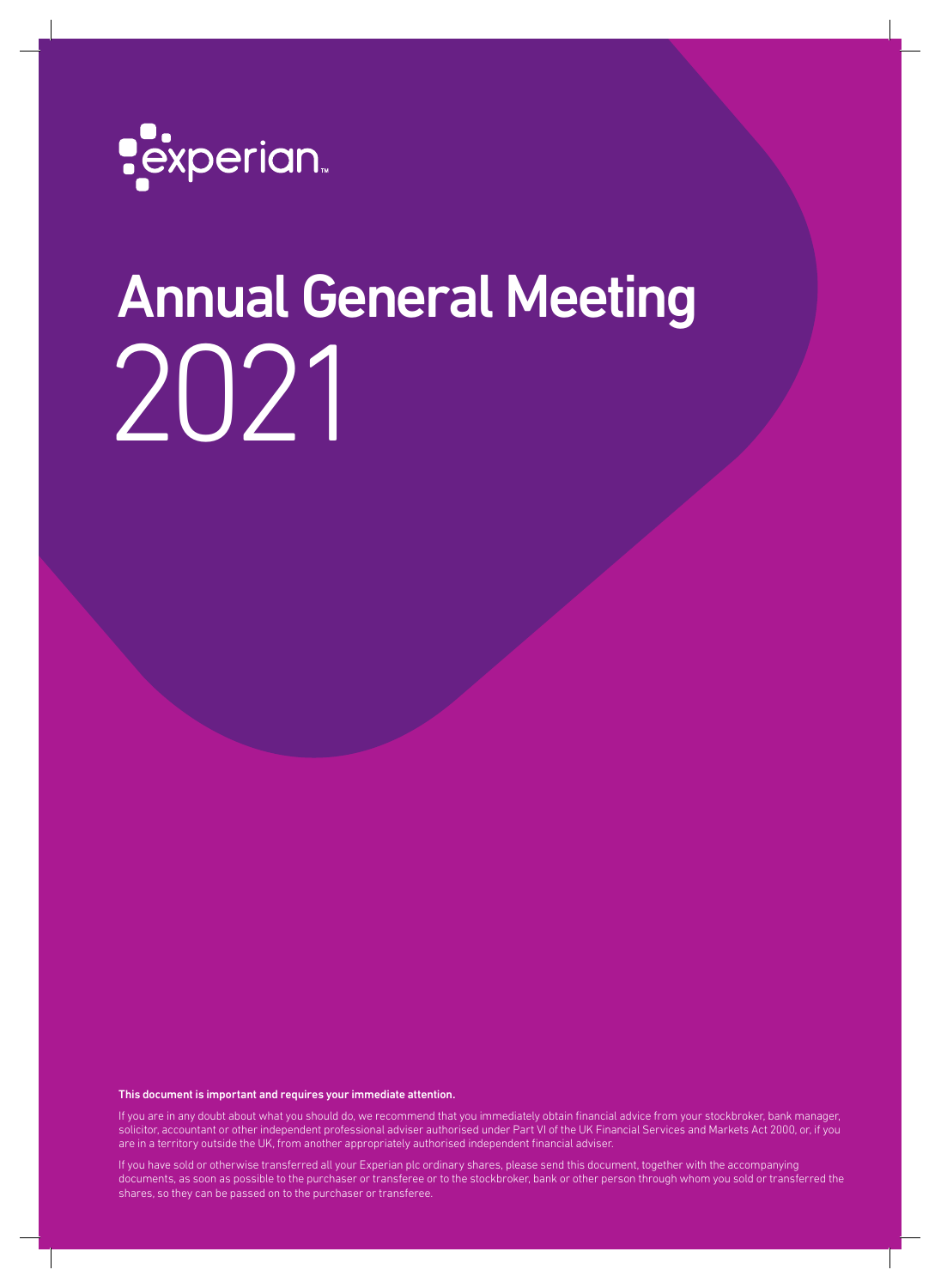

# Annual General Meeting 2021

This document is important and requires your immediate attention.

If you are in any doubt about what you should do, we recommend that you immediately obtain financial advice from your stockbroker, bank manager, solicitor, accountant or other independent professional adviser authorised under Part VI of the UK Financial Services and Markets Act 2000, or, if you are in a territory outside the UK, from another appropriately authorised independent financial adviser.

If you have sold or otherwise transferred all your Experian plc ordinary shares, please send this document, together with the accompanying documents, as soon as possible to the purchaser or transferee or to the stockbroker, bank or other person through whom you sold or transferred the shares, so they can be passed on to the purchaser or transferee.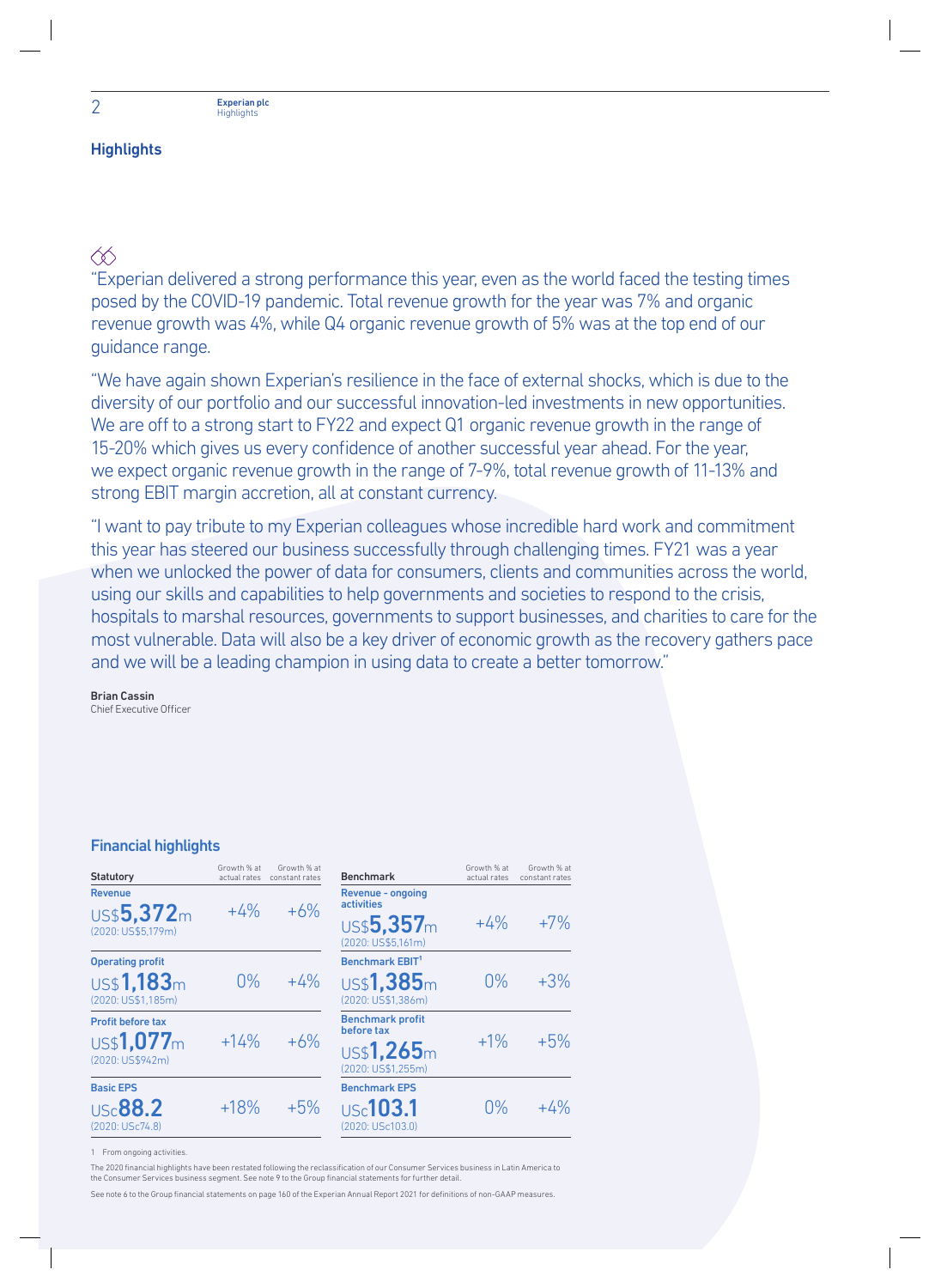## **Highlights**

∕⊗

"Experian delivered a strong performance this year, even as the world faced the testing times posed by the COVID-19 pandemic. Total revenue growth for the year was 7% and organic revenue growth was 4%, while Q4 organic revenue growth of 5% was at the top end of our guidance range.

"We have again shown Experian's resilience in the face of external shocks, which is due to the diversity of our portfolio and our successful innovation-led investments in new opportunities. We are off to a strong start to FY22 and expect Q1 organic revenue growth in the range of 15-20% which gives us every confidence of another successful year ahead. For the year, we expect organic revenue growth in the range of 7-9%, total revenue growth of 11-13% and strong EBIT margin accretion, all at constant currency.

"I want to pay tribute to my Experian colleagues whose incredible hard work and commitment this year has steered our business successfully through challenging times. FY21 was a year when we unlocked the power of data for consumers, clients and communities across the world, using our skills and capabilities to help governments and societies to respond to the crisis, hospitals to marshal resources, governments to support businesses, and charities to care for the most vulnerable. Data will also be a key driver of economic growth as the recovery gathers pace and we will be a leading champion in using data to create a better tomorrow."

Brian Cassin Chief Executive Officer

### Financial highlights

| Growth % at<br>actual rates | Growth % at<br>constant rates | <b>Benchmark</b>                       | Growth % at<br>actual rates | Growth % at<br>constant rates |
|-----------------------------|-------------------------------|----------------------------------------|-----------------------------|-------------------------------|
|                             | $+6%$                         | Revenue - ongoing<br><b>activities</b> |                             |                               |
|                             |                               | US\$5,357m<br>(2020: US\$5,161m)       | $+4%$                       | $+7%$                         |
|                             |                               | Benchmark EBIT <sup>1</sup>            |                             |                               |
| $0\%$                       | $+4%$                         | US\$1,385m<br>(2020: US\$1.386m)       | $0\%$                       | $+3%$                         |
| $+14%$                      | $+6%$                         | <b>Benchmark profit</b>                | $+1\%$                      | $+5%$                         |
|                             |                               | US\$1,265m<br>(2020: US\$1.255m)       |                             |                               |
|                             |                               | <b>Benchmark EPS</b>                   |                             |                               |
| $+18%$                      | $+5%$                         | Use 103.1<br>(2020: USc103.0)          | 0%                          | $+4%$                         |
|                             | $+4%$                         |                                        | before tax                  |                               |

1 From ongoing activities.

The 2020 financial highlights have been restated following the reclassification of our Consumer Services business in Latin America to the Consumer Services business segment. See note 9 to the Group financial statements for further detail.

See note 6 to the Group financial statements on page 160 of the Experian Annual Report 2021 for definitions of non-GAAP measures.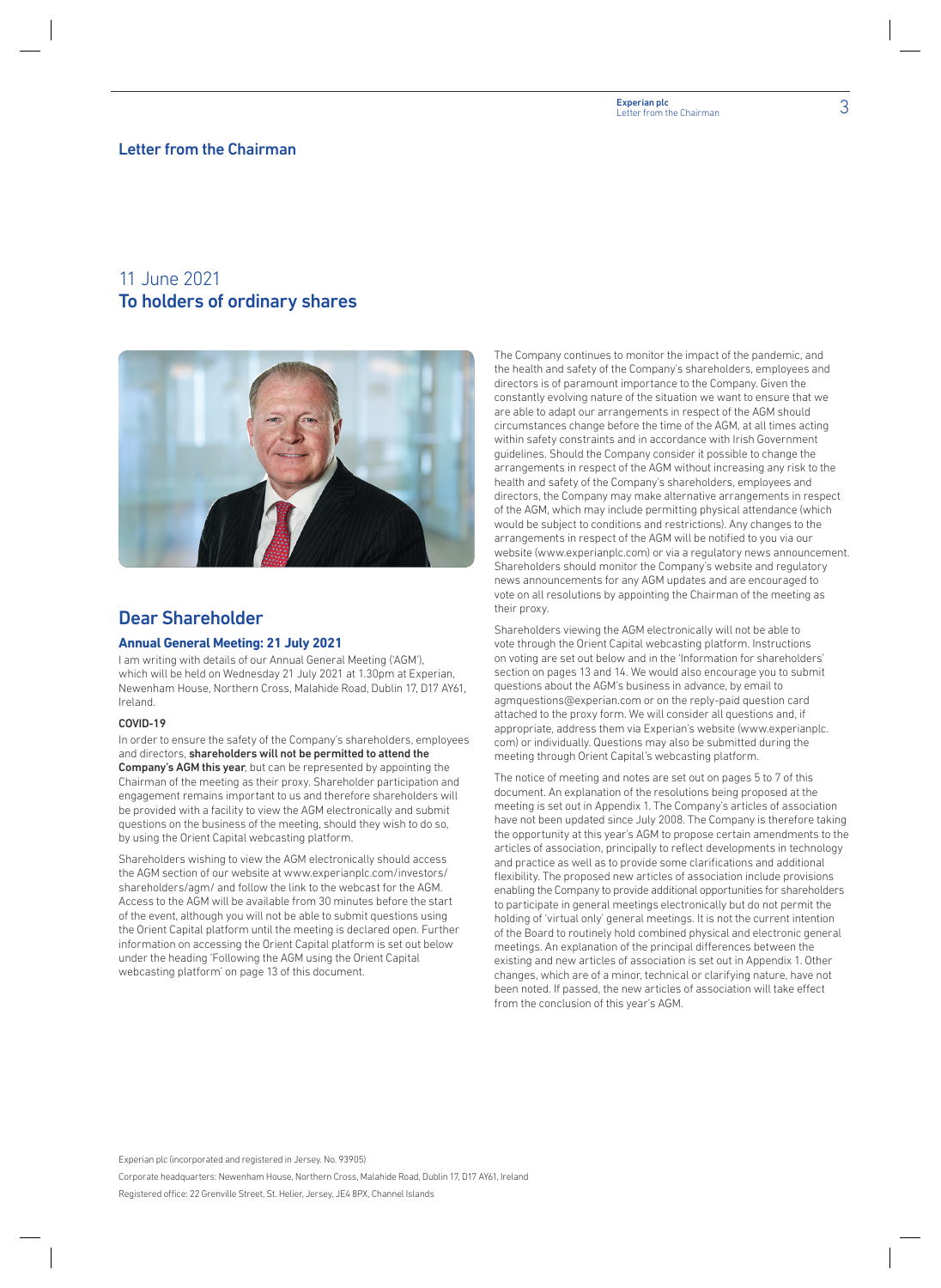# 3 Experian plc Letter from the Chairman

#### Letter from the Chairman

# 11 June 2021 To holders of ordinary shares



# Dear Shareholder

#### **Annual General Meeting: 21 July 2021**

I am writing with details of our Annual General Meeting ('AGM'), which will be held on Wednesday 21 July 2021 at 1.30pm at Experian, Newenham House, Northern Cross, Malahide Road, Dublin 17, D17 AY61, Ireland.

#### COVID-19

In order to ensure the safety of the Company's shareholders, employees and directors, shareholders will not be permitted to attend the Company's AGM this year, but can be represented by appointing the Chairman of the meeting as their proxy. Shareholder participation and engagement remains important to us and therefore shareholders will be provided with a facility to view the AGM electronically and submit questions on the business of the meeting, should they wish to do so, by using the Orient Capital webcasting platform.

Shareholders wishing to view the AGM electronically should access the AGM section of our website at www.experianplc.com/investors/ shareholders/agm/ and follow the link to the webcast for the AGM. Access to the AGM will be available from 30 minutes before the start of the event, although you will not be able to submit questions using the Orient Capital platform until the meeting is declared open. Further information on accessing the Orient Capital platform is set out below under the heading 'Following the AGM using the Orient Capital webcasting platform' on page 13 of this document.

The Company continues to monitor the impact of the pandemic, and the health and safety of the Company's shareholders, employees and directors is of paramount importance to the Company. Given the constantly evolving nature of the situation we want to ensure that we are able to adapt our arrangements in respect of the AGM should circumstances change before the time of the AGM, at all times acting within safety constraints and in accordance with Irish Government guidelines. Should the Company consider it possible to change the arrangements in respect of the AGM without increasing any risk to the health and safety of the Company's shareholders, employees and directors, the Company may make alternative arrangements in respect of the AGM, which may include permitting physical attendance (which would be subject to conditions and restrictions). Any changes to the arrangements in respect of the AGM will be notified to you via our website (www.experianplc.com) or via a regulatory news announcement. Shareholders should monitor the Company's website and regulatory news announcements for any AGM updates and are encouraged to vote on all resolutions by appointing the Chairman of the meeting as their proxy.

Shareholders viewing the AGM electronically will not be able to vote through the Orient Capital webcasting platform. Instructions on voting are set out below and in the 'Information for shareholders' section on pages 13 and 14. We would also encourage you to submit questions about the AGM's business in advance, by email to agmquestions@experian.com or on the reply-paid question card attached to the proxy form. We will consider all questions and, if appropriate, address them via Experian's website (www.experianplc. com) or individually. Questions may also be submitted during the meeting through Orient Capital's webcasting platform.

The notice of meeting and notes are set out on pages 5 to 7 of this document. An explanation of the resolutions being proposed at the meeting is set out in Appendix 1. The Company's articles of association have not been updated since July 2008. The Company is therefore taking the opportunity at this year's AGM to propose certain amendments to the articles of association, principally to reflect developments in technology and practice as well as to provide some clarifications and additional flexibility. The proposed new articles of association include provisions enabling the Company to provide additional opportunities for shareholders to participate in general meetings electronically but do not permit the holding of 'virtual only' general meetings. It is not the current intention of the Board to routinely hold combined physical and electronic general meetings. An explanation of the principal differences between the existing and new articles of association is set out in Appendix 1. Other changes, which are of a minor, technical or clarifying nature, have not been noted. If passed, the new articles of association will take effect from the conclusion of this year's AGM.

Experian plc (incorporated and registered in Jersey. No. 93905)

Corporate headquarters: Newenham House, Northern Cross, Malahide Road, Dublin 17, D17 AY61, Ireland Registered office: 22 Grenville Street, St. Helier, Jersey, JE4 8PX, Channel Islands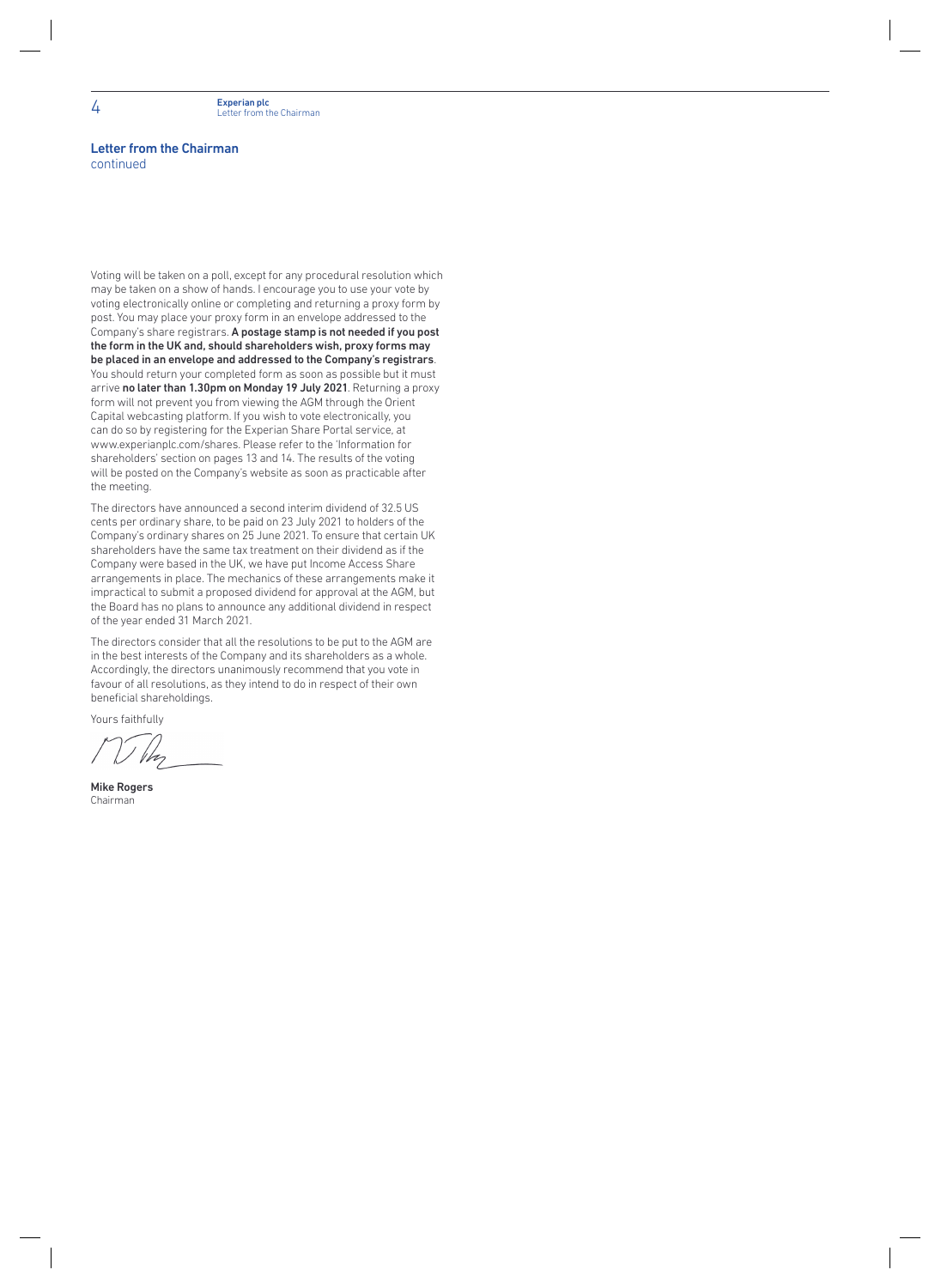#### Letter from the Chairman continued

Voting will be taken on a poll, except for any procedural resolution which may be taken on a show of hands. I encourage you to use your vote by voting electronically online or completing and returning a proxy form by post. You may place your proxy form in an envelope addressed to the Company's share registrars. A postage stamp is not needed if you post the form in the UK and, should shareholders wish, proxy forms may be placed in an envelope and addressed to the Company's registrars. You should return your completed form as soon as possible but it must arrive no later than 1.30pm on Monday 19 July 2021. Returning a proxy form will not prevent you from viewing the AGM through the Orient Capital webcasting platform. If you wish to vote electronically, you can do so by registering for the Experian Share Portal service, at www.experianplc.com/shares. Please refer to the 'Information for shareholders' section on pages 13 and 14. The results of the voting will be posted on the Company's website as soon as practicable after the meeting.

The directors have announced a second interim dividend of 32.5 US cents per ordinary share, to be paid on 23 July 2021 to holders of the Company's ordinary shares on 25 June 2021. To ensure that certain UK shareholders have the same tax treatment on their dividend as if the Company were based in the UK, we have put Income Access Share arrangements in place. The mechanics of these arrangements make it impractical to submit a proposed dividend for approval at the AGM, but the Board has no plans to announce any additional dividend in respect of the year ended 31 March 2021.

The directors consider that all the resolutions to be put to the AGM are in the best interests of the Company and its shareholders as a whole. Accordingly, the directors unanimously recommend that you vote in favour of all resolutions, as they intend to do in respect of their own beneficial shareholdings.

Yours faithfully

Mike Rogers Chairman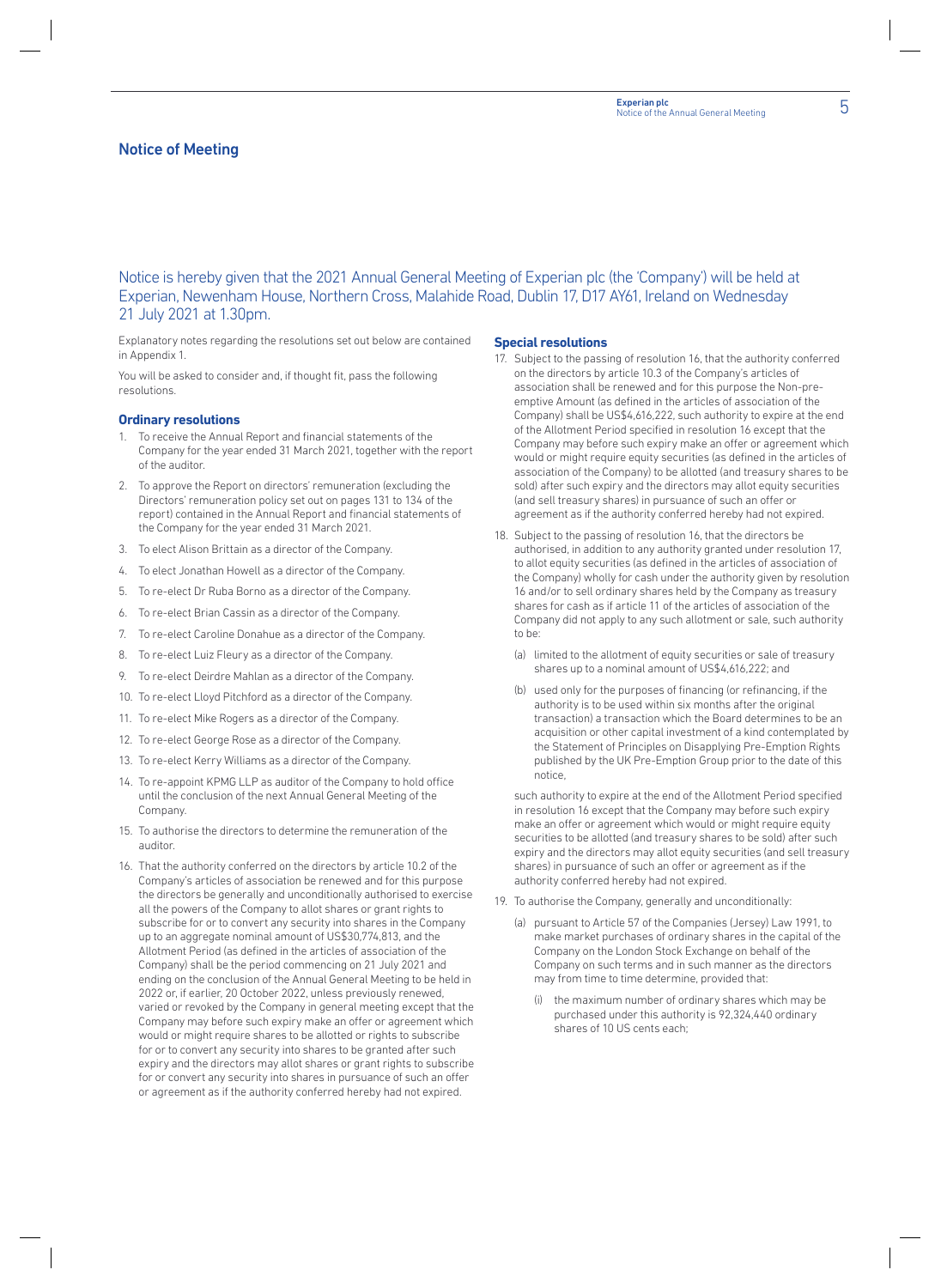#### Notice of Meeting

Notice is hereby given that the 2021 Annual General Meeting of Experian plc (the 'Company') will be held at Experian, Newenham House, Northern Cross, Malahide Road, Dublin 17, D17 AY61, Ireland on Wednesday 21 July 2021 at 1.30pm.

Explanatory notes regarding the resolutions set out below are contained in Appendix 1.

You will be asked to consider and, if thought fit, pass the following resolutions.

#### **Ordinary resolutions**

- 1. To receive the Annual Report and financial statements of the Company for the year ended 31 March 2021, together with the report of the auditor.
- 2. To approve the Report on directors' remuneration (excluding the Directors' remuneration policy set out on pages 131 to 134 of the report) contained in the Annual Report and financial statements of the Company for the year ended 31 March 2021.
- 3. To elect Alison Brittain as a director of the Company.
- 4. To elect Jonathan Howell as a director of the Company.
- 5. To re-elect Dr Ruba Borno as a director of the Company.
- 6. To re-elect Brian Cassin as a director of the Company.
- 7. To re-elect Caroline Donahue as a director of the Company.
- 8. To re-elect Luiz Fleury as a director of the Company.
- 9. To re-elect Deirdre Mahlan as a director of the Company.
- 10. To re-elect Lloyd Pitchford as a director of the Company.
- 11. To re-elect Mike Rogers as a director of the Company.
- 12. To re-elect George Rose as a director of the Company.
- 13. To re-elect Kerry Williams as a director of the Company.
- 14. To re-appoint KPMG LLP as auditor of the Company to hold office until the conclusion of the next Annual General Meeting of the Company.
- 15. To authorise the directors to determine the remuneration of the auditor.
- 16. That the authority conferred on the directors by article 10.2 of the Company's articles of association be renewed and for this purpose the directors be generally and unconditionally authorised to exercise all the powers of the Company to allot shares or grant rights to subscribe for or to convert any security into shares in the Company up to an aggregate nominal amount of US\$30,774,813, and the Allotment Period (as defined in the articles of association of the Company) shall be the period commencing on 21 July 2021 and ending on the conclusion of the Annual General Meeting to be held in 2022 or, if earlier, 20 October 2022, unless previously renewed, varied or revoked by the Company in general meeting except that the Company may before such expiry make an offer or agreement which would or might require shares to be allotted or rights to subscribe for or to convert any security into shares to be granted after such expiry and the directors may allot shares or grant rights to subscribe for or convert any security into shares in pursuance of such an offer or agreement as if the authority conferred hereby had not expired.

#### **Special resolutions**

- 17. Subject to the passing of resolution 16, that the authority conferred on the directors by article 10.3 of the Company's articles of association shall be renewed and for this purpose the Non-preemptive Amount (as defined in the articles of association of the Company) shall be US\$4,616,222, such authority to expire at the end of the Allotment Period specified in resolution 16 except that the Company may before such expiry make an offer or agreement which would or might require equity securities (as defined in the articles of association of the Company) to be allotted (and treasury shares to be sold) after such expiry and the directors may allot equity securities (and sell treasury shares) in pursuance of such an offer or agreement as if the authority conferred hereby had not expired.
- 18. Subject to the passing of resolution 16, that the directors be authorised, in addition to any authority granted under resolution 17, to allot equity securities (as defined in the articles of association of the Company) wholly for cash under the authority given by resolution 16 and/or to sell ordinary shares held by the Company as treasury shares for cash as if article 11 of the articles of association of the Company did not apply to any such allotment or sale, such authority to be:
	- (a) limited to the allotment of equity securities or sale of treasury shares up to a nominal amount of US\$4,616,222; and
	- (b) used only for the purposes of financing (or refinancing, if the authority is to be used within six months after the original transaction) a transaction which the Board determines to be an acquisition or other capital investment of a kind contemplated by the Statement of Principles on Disapplying Pre-Emption Rights published by the UK Pre-Emption Group prior to the date of this notice,

 such authority to expire at the end of the Allotment Period specified in resolution 16 except that the Company may before such expiry make an offer or agreement which would or might require equity securities to be allotted (and treasury shares to be sold) after such expiry and the directors may allot equity securities (and sell treasury shares) in pursuance of such an offer or agreement as if the authority conferred hereby had not expired.

- 19. To authorise the Company, generally and unconditionally:
	- (a) pursuant to Article 57 of the Companies (Jersey) Law 1991, to make market purchases of ordinary shares in the capital of the Company on the London Stock Exchange on behalf of the Company on such terms and in such manner as the directors may from time to time determine, provided that:
		- the maximum number of ordinary shares which may be purchased under this authority is 92,324,440 ordinary shares of 10 US cents each;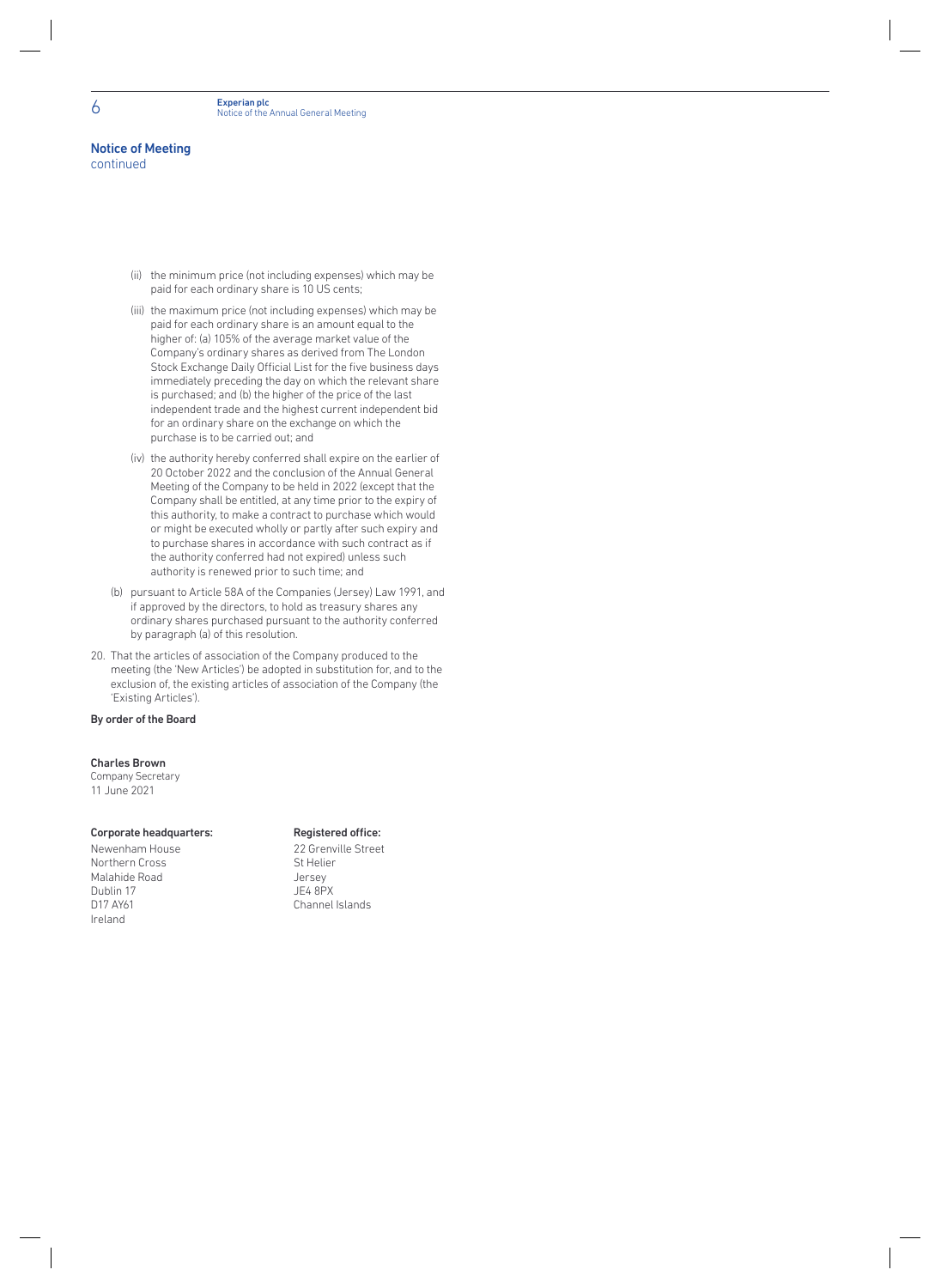# Notice of Meeting

continued

- (ii) the minimum price (not including expenses) which may be paid for each ordinary share is 10 US cents;
- (iii) the maximum price (not including expenses) which may be paid for each ordinary share is an amount equal to the higher of: (a) 105% of the average market value of the Company's ordinary shares as derived from The London Stock Exchange Daily Official List for the five business days immediately preceding the day on which the relevant share is purchased; and (b) the higher of the price of the last independent trade and the highest current independent bid for an ordinary share on the exchange on which the purchase is to be carried out; and
- (iv) the authority hereby conferred shall expire on the earlier of 20 October 2022 and the conclusion of the Annual General Meeting of the Company to be held in 2022 (except that the Company shall be entitled, at any time prior to the expiry of this authority, to make a contract to purchase which would or might be executed wholly or partly after such expiry and to purchase shares in accordance with such contract as if the authority conferred had not expired) unless such authority is renewed prior to such time; and
- (b) pursuant to Article 58A of the Companies (Jersey) Law 1991, and if approved by the directors, to hold as treasury shares any ordinary shares purchased pursuant to the authority conferred by paragraph (a) of this resolution.
- 20. That the articles of association of the Company produced to the meeting (the 'New Articles') be adopted in substitution for, and to the exclusion of, the existing articles of association of the Company (the 'Existing Articles').

#### By order of the Board

#### Charles Brown

Company Secretary 11 June 2021

#### Corporate headquarters: Registered office:

Newenham House 22 Grenville Street Northern Cross Malahide Road Jersey Dublin 17<br>D17 AY61 Ireland

Channel Islands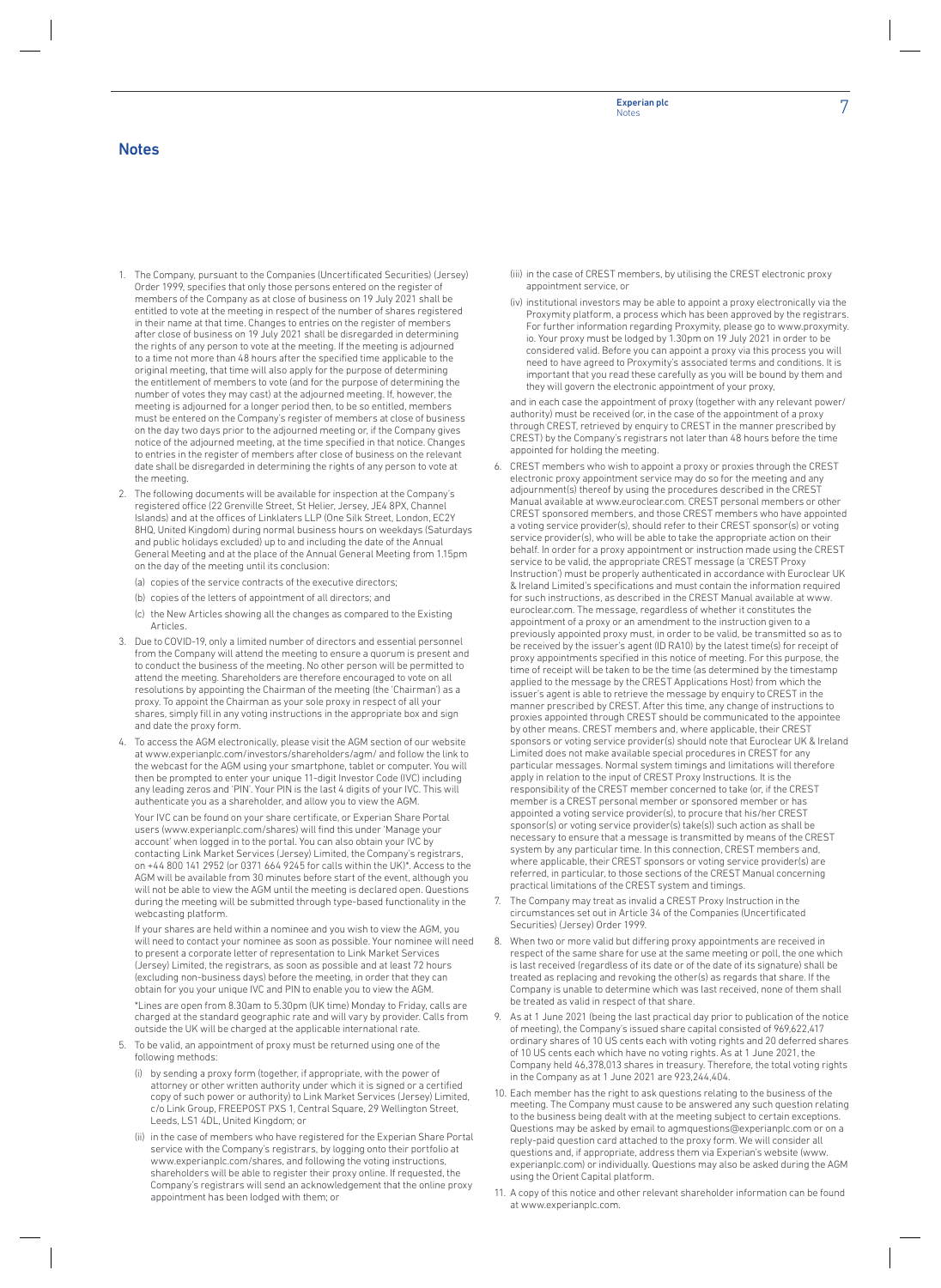#### **Notes**

- 1. The Company, pursuant to the Companies (Uncertificated Securities) (Jersey) Order 1999, specifies that only those persons entered on the register of members of the Company as at close of business on 19 July 2021 shall be entitled to vote at the meeting in respect of the number of shares registered in their name at that time. Changes to entries on the register of members after close of business on 19 July 2021 shall be disregarded in determining the rights of any person to vote at the meeting. If the meeting is adjourned to a time not more than 48 hours after the specified time applicable to the original meeting, that time will also apply for the purpose of determining the entitlement of members to vote (and for the purpose of determining the number of votes they may cast) at the adjourned meeting. If, however, the meeting is adjourned for a longer period then, to be so entitled, members must be entered on the Company's register of members at close of business on the day two days prior to the adjourned meeting or, if the Company gives notice of the adjourned meeting, at the time specified in that notice. Changes to entries in the register of members after close of business on the relevant date shall be disregarded in determining the rights of any person to vote at the meeting.
- The following documents will be available for inspection at the Company's registered office (22 Grenville Street, St Helier, Jersey, JE4 8PX, Channel Islands) and at the offices of Linklaters LLP (One Silk Street, London, EC2Y 8HQ, United Kingdom) during normal business hours on weekdays (Saturdays and public holidays excluded) up to and including the date of the Annual General Meeting and at the place of the Annual General Meeting from 1.15pm on the day of the meeting until its conclusion:
	- (a) copies of the service contracts of the executive directors;
	- (b) copies of the letters of appointment of all directors; and
	- (c) the New Articles showing all the changes as compared to the Existing Articles.
- 3. Due to COVID-19, only a limited number of directors and essential personnel from the Company will attend the meeting to ensure a quorum is present and to conduct the business of the meeting. No other person will be permitted to attend the meeting. Shareholders are therefore encouraged to vote on all resolutions by appointing the Chairman of the meeting (the 'Chairman') as a proxy. To appoint the Chairman as your sole proxy in respect of all your shares, simply fill in any voting instructions in the appropriate box and sign and date the proxy form.
- To access the AGM electronically, please visit the AGM section of our website at www.experianplc.com/investors/shareholders/agm/ and follow the link to the webcast for the AGM using your smartphone, tablet or computer. You will then be prompted to enter your unique 11-digit Investor Code (IVC) including any leading zeros and 'PIN'. Your PIN is the last 4 digits of your IVC. This will authenticate you as a shareholder, and allow you to view the AGM.

Your IVC can be found on your share certificate, or Experian Share Portal users (www.experianplc.com/shares) will find this under'Manage your account' when logged in to the portal. You can also obtain your IVC by contacting Link Market Services (Jersey) Limited, the Company's registrars, on +44 800 141 2952 (or 0371 664 9245 for calls within the UK)\*. Access to the AGM will be available from 30 minutes before start of the event, although you will not be able to view the AGM until the meeting is declared open. Questions during the meeting will be submitted through type-based functionality in the webcasting platform.

If your shares are held within a nominee and you wish to view the AGM, you will need to contact your nominee as soon as possible. Your nominee will need to present a corporate letter of representation to Link Market Services (Jersey) Limited, the registrars, as soon as possible and at least 72 hours (excluding non-business days) before the meeting, in order that they can obtain for you your unique IVC and PIN to enable you to view the AGM.

\*Lines are open from 8.30am to 5.30pm (UK time) Monday to Friday, calls are charged at the standard geographic rate and will vary by provider. Calls from outside the UK will be charged at the applicable international rate.

- To be valid, an appointment of proxy must be returned using one of the following methods:
	- (i) by sending a proxy form (together, if appropriate, with the power of attorney or other written authority under which it is signed or a certified copy of such power or authority) to Link Market Services (Jersey) Limited, c/o Link Group, FREEPOST PXS 1, Central Square, 29 Wellington Street, Leeds, LS1 4DL, United Kingdom; or
	- (ii) in the case of members who have registered forthe Experian Share Portal service with the Company's registrars, by logging onto their portfolio at www.experianplc.com/shares, and following the voting instructions, shareholders will be able to register their proxy online. If requested, the Company's registrars will send an acknowledgement that the online proxy appointment has been lodged with them; or
- (iii) in the case of CREST members, by utilising the CREST electronic proxy appointment service, or
- (iv) institutional investors may be able to appoint a proxy electronically via the Proxymity platform, a process which has been approved by the registrars. For further information regarding Proxymity, please go to www.proxymity. io. Your proxy must be lodged by 1.30pm on 19 July 2021 in order to be considered valid. Before you can appoint a proxy via this process you will need to have agreed to Proxymity's associated terms and conditions. It is important that you read these carefully as you will be bound by them and they will govern the electronic appointment of your proxy,

and in each case the appointment of proxy (together with any relevant power/ authority) must be received (or, in the case of the appointment of a proxy through CREST, retrieved by enquiry to CREST in the manner prescribed by CREST) by the Company's registrars not later than 48 hours before the time appointed for holding the meeting.

- 6. CREST members who wish to appoint a proxy or proxies through the CREST electronic proxy appointment service may do so for the meeting and any adjournment(s) thereof by using the procedures described in the CREST Manual available at www.euroclear.com. CREST personal members or other CREST sponsored members, and those CREST members who have appointed a voting service provider(s), should referto their CREST sponsor(s) or voting service provider(s), who will be able to take the appropriate action on their behalf. In order for a proxy appointment or instruction made using the CREST service to be valid, the appropriate CREST message (a 'CREST Proxy Instruction') must be properly authenticated in accordance with Euroclear UK & Ireland Limited's specifications and must contain the information required for such instructions, as described in the CREST Manual available at www. euroclear.com. The message, regardless of whether it constitutes the appointment of a proxy or an amendment to the instruction given to a previously appointed proxy must, in orderto be valid, be transmitted so as to be received by the issuer's agent (ID RA10) by the latest time(s) forreceipt of proxy appointments specified in this notice of meeting. Forthis purpose, the time of receipt will be taken to be the time (as determined by the timestamp applied to the message by the CREST Applications Host) from which the issuer's agent is able to retrieve the message by enquiry to CREST in the manner prescribed by CREST. After this time, any change of instructions to proxies appointed through CREST should be communicated to the appointee by other means. CREST members and, where applicable, their CREST sponsors or voting service provider(s) should note that Euroclear UK & Ireland Limited does not make available special procedures in CREST for any particular messages. Normal system timings and limitations will therefore apply in relation to the input of CREST Proxy Instructions. It is the responsibility of the CREST member concerned to take (or, if the CREST memberis a CREST personal member or sponsored member or has appointed a voting service provider(s), to procure that his/her CREST sponsor(s) or voting service provider(s) take(s)) such action as shall be necessary to ensure that a message is transmitted by means of the CREST system by any particular time. In this connection, CREST members and, where applicable, their CREST sponsors or voting service provider(s) are referred, in particular, to those sections of the CREST Manual concerning practical limitations of the CREST system and timings.
- 7. The Company may treat as invalid a CREST Proxy Instruction in the circumstances set out in Article 34 of the Companies (Uncertificated Securities) (Jersey) Order 1999.
- 8. When two or more valid but differing proxy appointments are received in respect of the same share for use at the same meeting or poll, the one which is lastreceived (regardless of its date or of the date of its signature) shall be treated as replacing and revoking the other(s) as regards that share. If the Company is unable to determine which was lastreceived, none of them shall be treated as valid in respect of that share.
- As at 1 June 2021 (being the last practical day prior to publication of the notice of meeting), the Company's issued share capital consisted of 969,622,417 ordinary shares of 10 US cents each with voting rights and 20 deferred shares of 10 US cents each which have no voting rights. As at 1 June 2021, the Company held 46,378,013 shares in treasury. Therefore, the total voting rights in the Company as at 1 June 2021 are 923,244,404.
- 10. Each member has the right to ask questions relating to the business of the meeting. The Company must cause to be answered any such question relating to the business being dealt with at the meeting subject to certain exceptions. Questions may be asked by email to agmquestions@experianplc.com or on a reply-paid question card attached to the proxy form. We will consider all questions and, if appropriate, address them via Experian's website (www. experianplc.com) or individually. Questions may also be asked during the AGM using the Orient Capital platform.
- 11. A copy of this notice and other relevant shareholder information can be found at www.experianplc.com.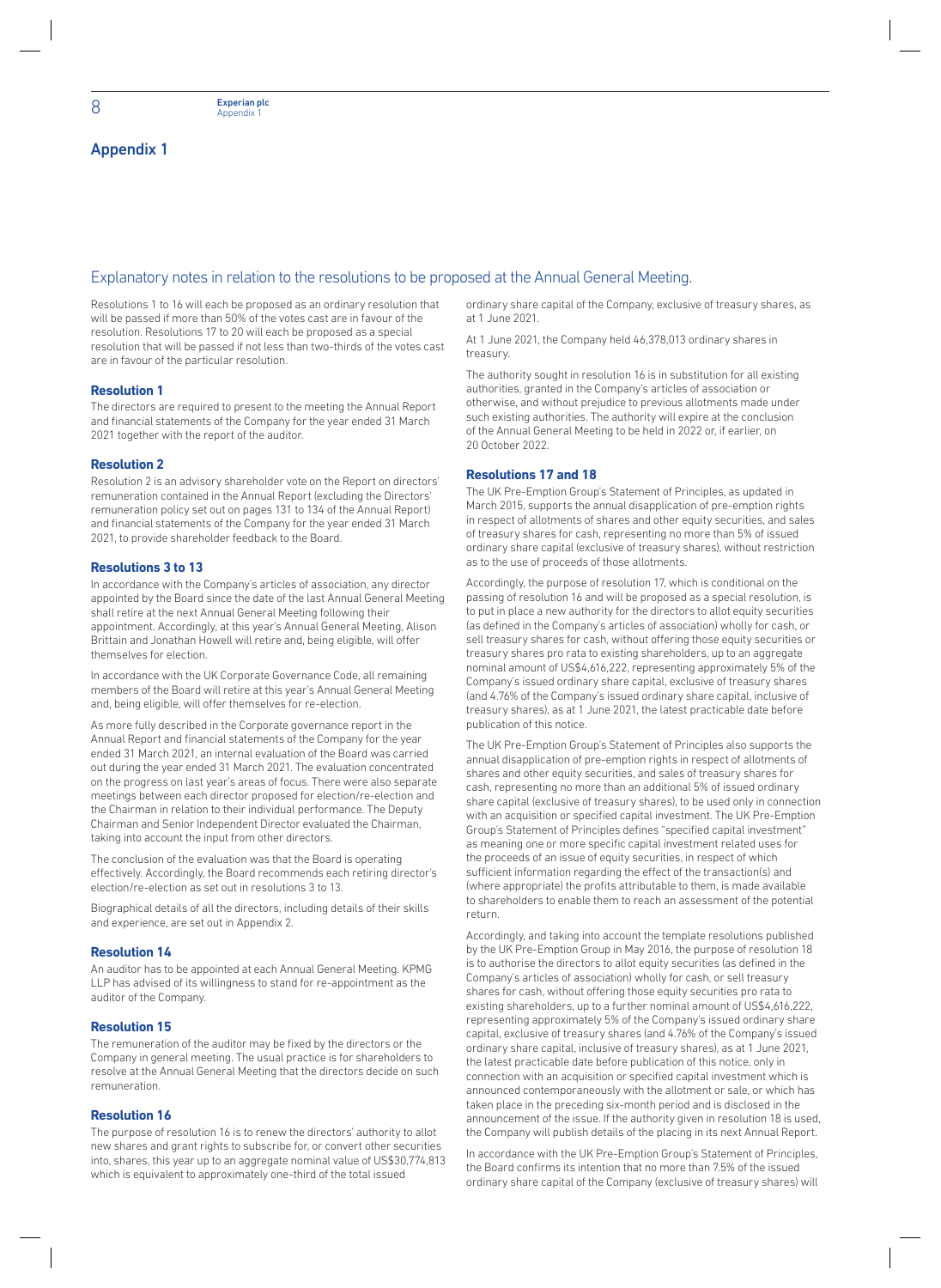#### Explanatory notes in relation to the resolutions to be proposed at the Annual General Meeting.

Resolutions 1 to 16 will each be proposed as an ordinary resolution that will be passed if more than 50% of the votes cast are in favour of the resolution. Resolutions 17 to 20 will each be proposed as a special resolution that will be passed if not less than two-thirds of the votes cast are in favour of the particular resolution.

#### **Resolution 1**

The directors are required to present to the meeting the Annual Report and financial statements of the Company for the year ended 31 March 2021 together with the report of the auditor.

#### **Resolution 2**

Resolution 2 is an advisory shareholder vote on the Report on directors' remuneration contained in the Annual Report (excluding the Directors' remuneration policy set out on pages 131 to 134 of the Annual Report) and financial statements of the Company for the year ended 31 March 2021, to provide shareholder feedback to the Board.

#### **Resolutions 3 to 13**

In accordance with the Company's articles of association, any director appointed by the Board since the date of the last Annual General Meeting shall retire at the next Annual General Meeting following their appointment. Accordingly, at this year's Annual General Meeting, Alison Brittain and Jonathan Howell will retire and, being eligible, will offer themselves for election.

In accordance with the UK Corporate Governance Code, all remaining members of the Board will retire at this year's Annual General Meeting and, being eligible, will offer themselves for re-election.

As more fully described in the Corporate governance report in the Annual Report and financial statements of the Company for the year ended 31 March 2021, an internal evaluation of the Board was carried out during the year ended 31 March 2021. The evaluation concentrated on the progress on last year's areas of focus. There were also separate meetings between each director proposed for election/re-election and the Chairman in relation to their individual performance. The Deputy Chairman and Senior Independent Director evaluated the Chairman, taking into account the input from other directors.

The conclusion of the evaluation was that the Board is operating effectively. Accordingly, the Board recommends each retiring director's election/re-election as set out in resolutions 3 to 13.

Biographical details of all the directors, including details of their skills and experience, are set out in Appendix 2.

#### **Resolution 14**

An auditor has to be appointed at each Annual General Meeting. KPMG LLP has advised of its willingness to stand for re-appointment as the auditor of the Company.

#### **Resolution 15**

The remuneration of the auditor may be fixed by the directors or the Company in general meeting. The usual practice is for shareholders to resolve at the Annual General Meeting that the directors decide on such remuneration.

#### **Resolution 16**

The purpose of resolution 16 is to renew the directors' authority to allot new shares and grant rights to subscribe for, or convert other securities into, shares, this year up to an aggregate nominal value of US\$30,774,813 which is equivalent to approximately one-third of the total issued

ordinary share capital of the Company, exclusive of treasury shares, as at 1 June 2021.

At 1 June 2021, the Company held 46,378,013 ordinary shares in treasury.

The authority sought in resolution 16 is in substitution for all existing authorities, granted in the Company's articles of association or otherwise, and without prejudice to previous allotments made under such existing authorities. The authority will expire at the conclusion of the Annual General Meeting to be held in 2022 or, if earlier, on 20 October 2022.

#### **Resolutions 17 and 18**

The UK Pre-Emption Group's Statement of Principles, as updated in March 2015, supports the annual disapplication of pre-emption rights in respect of allotments of shares and other equity securities, and sales of treasury shares for cash, representing no more than 5% of issued ordinary share capital (exclusive of treasury shares), without restriction as to the use of proceeds of those allotments.

Accordingly, the purpose of resolution 17, which is conditional on the passing of resolution 16 and will be proposed as a special resolution, is to put in place a new authority for the directors to allot equity securities (as defined in the Company's articles of association) wholly for cash, or sell treasury shares for cash, without offering those equity securities or treasury shares pro rata to existing shareholders, up to an aggregate nominal amount of US\$4,616,222, representing approximately 5% of the Company's issued ordinary share capital, exclusive of treasury shares (and 4.76% of the Company's issued ordinary share capital, inclusive of treasury shares), as at 1 June 2021, the latest practicable date before publication of this notice.

The UK Pre-Emption Group's Statement of Principles also supports the annual disapplication of pre-emption rights in respect of allotments of shares and other equity securities, and sales of treasury shares for cash, representing no more than an additional 5% of issued ordinary share capital (exclusive of treasury shares), to be used only in connection with an acquisition or specified capital investment. The UK Pre-Emption Group's Statement of Principles defines "specified capital investment" as meaning one or more specific capital investment related uses for the proceeds of an issue of equity securities, in respect of which sufficient information regarding the effect of the transaction(s) and (where appropriate) the profits attributable to them, is made available to shareholders to enable them to reach an assessment of the potential return.

Accordingly, and taking into account the template resolutions published by the UK Pre-Emption Group in May 2016, the purpose of resolution 18 is to authorise the directors to allot equity securities (as defined in the Company's articles of association) wholly for cash, or sell treasury shares for cash, without offering those equity securities pro rata to existing shareholders, up to a further nominal amount of US\$4,616,222, representing approximately 5% of the Company's issued ordinary share capital, exclusive of treasury shares (and 4.76% of the Company's issued ordinary share capital, inclusive of treasury shares), as at 1 June 2021, the latest practicable date before publication of this notice, only in connection with an acquisition or specified capital investment which is announced contemporaneously with the allotment or sale, or which has taken place in the preceding six-month period and is disclosed in the announcement of the issue. If the authority given in resolution 18 is used, the Company will publish details of the placing in its next Annual Report.

In accordance with the UK Pre-Emption Group's Statement of Principles, the Board confirms its intention that no more than 7.5% of the issued ordinary share capital of the Company (exclusive of treasury shares) will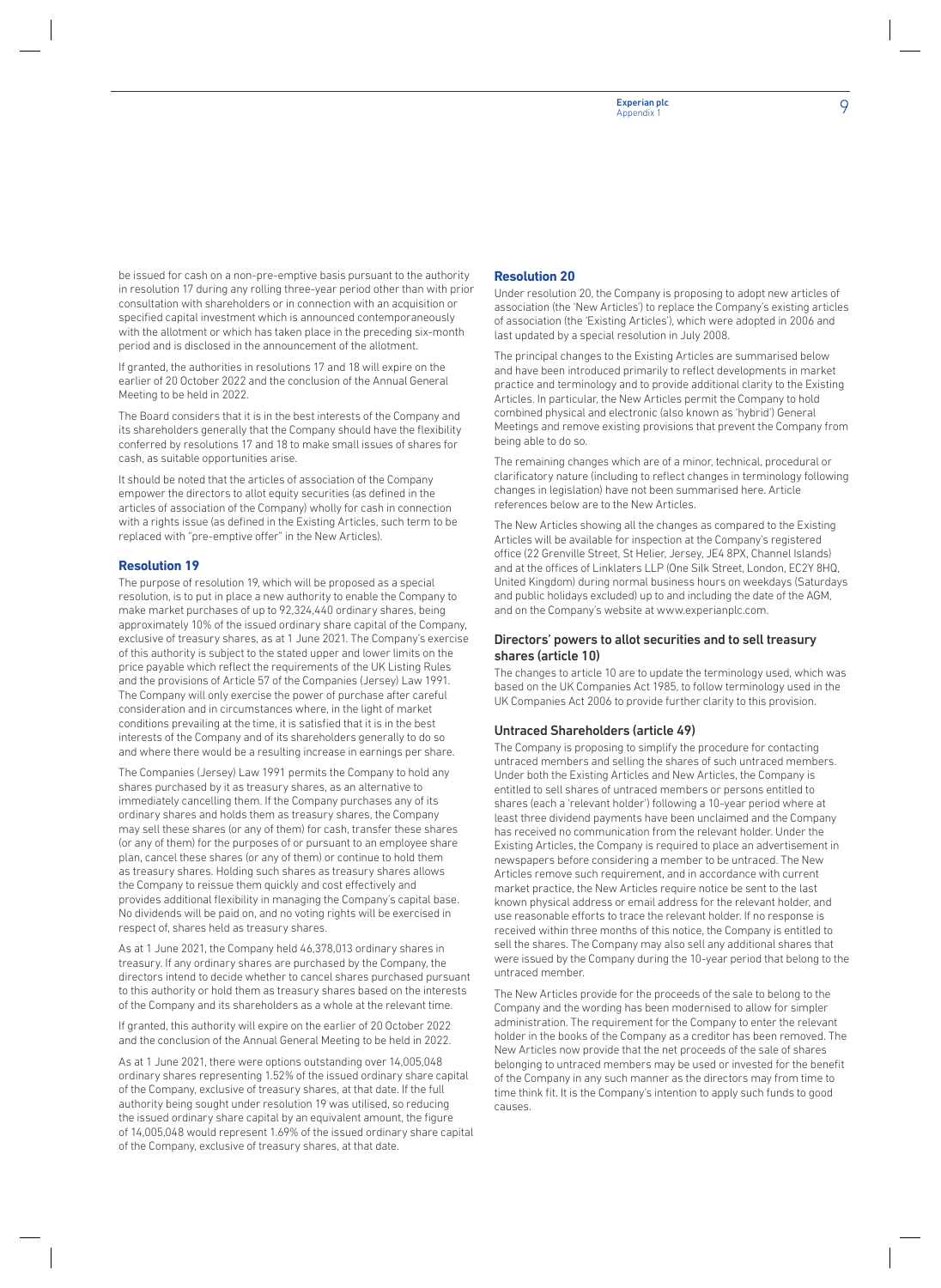be issued for cash on a non-pre-emptive basis pursuant to the authority in resolution 17 during any rolling three-year period other than with prior consultation with shareholders or in connection with an acquisition or specified capital investment which is announced contemporaneously with the allotment or which has taken place in the preceding six-month period and is disclosed in the announcement of the allotment.

If granted, the authorities in resolutions 17 and 18 will expire on the earlier of 20 October 2022 and the conclusion of the Annual General Meeting to be held in 2022.

The Board considers that it is in the best interests of the Company and its shareholders generally that the Company should have the flexibility conferred by resolutions 17 and 18 to make small issues of shares for cash, as suitable opportunities arise.

It should be noted that the articles of association of the Company empower the directors to allot equity securities (as defined in the articles of association of the Company) wholly for cash in connection with a rights issue (as defined in the Existing Articles, such term to be replaced with "pre-emptive offer" in the New Articles).

#### **Resolution 19**

The purpose of resolution 19, which will be proposed as a special resolution, is to put in place a new authority to enable the Company to make market purchases of up to 92,324,440 ordinary shares, being approximately 10% of the issued ordinary share capital of the Company, exclusive of treasury shares, as at 1 June 2021. The Company's exercise of this authority is subject to the stated upper and lower limits on the price payable which reflect the requirements of the UK Listing Rules and the provisions of Article 57 of the Companies (Jersey) Law 1991. The Company will only exercise the power of purchase after careful consideration and in circumstances where, in the light of market conditions prevailing at the time, it is satisfied that it is in the best interests of the Company and of its shareholders generally to do so and where there would be a resulting increase in earnings per share.

The Companies (Jersey) Law 1991 permits the Company to hold any shares purchased by it as treasury shares, as an alternative to immediately cancelling them. If the Company purchases any of its ordinary shares and holds them as treasury shares, the Company may sell these shares (or any of them) for cash, transfer these shares (or any of them) for the purposes of or pursuant to an employee share plan, cancel these shares (or any of them) or continue to hold them as treasury shares. Holding such shares as treasury shares allows the Company to reissue them quickly and cost effectively and provides additional flexibility in managing the Company's capital base. No dividends will be paid on, and no voting rights will be exercised in respect of, shares held as treasury shares.

As at 1 June 2021, the Company held 46,378,013 ordinary shares in treasury. If any ordinary shares are purchased by the Company, the directors intend to decide whether to cancel shares purchased pursuant to this authority or hold them as treasury shares based on the interests of the Company and its shareholders as a whole at the relevant time.

If granted, this authority will expire on the earlier of 20 October 2022 and the conclusion of the Annual General Meeting to be held in 2022.

As at 1 June 2021, there were options outstanding over 14,005,048 ordinary shares representing 1.52% of the issued ordinary share capital of the Company, exclusive of treasury shares, at that date. If the full authority being sought under resolution 19 was utilised, so reducing the issued ordinary share capital by an equivalent amount, the figure of 14,005,048 would represent 1.69% of the issued ordinary share capital of the Company, exclusive of treasury shares, at that date.

#### **Resolution 20**

Under resolution 20, the Company is proposing to adopt new articles of association (the 'New Articles') to replace the Company's existing articles of association (the 'Existing Articles'), which were adopted in 2006 and last updated by a special resolution in July 2008.

The principal changes to the Existing Articles are summarised below and have been introduced primarily to reflect developments in market practice and terminology and to provide additional clarity to the Existing Articles. In particular, the New Articles permit the Company to hold combined physical and electronic (also known as 'hybrid') General Meetings and remove existing provisions that prevent the Company from being able to do so.

The remaining changes which are of a minor, technical, procedural or clarificatory nature (including to reflect changes in terminology following changes in legislation) have not been summarised here. Article references below are to the New Articles.

The New Articles showing all the changes as compared to the Existing Articles will be available for inspection at the Company's registered office (22 Grenville Street, St Helier, Jersey, JE4 8PX, Channel Islands) and at the offices of Linklaters LLP (One Silk Street, London, EC2Y 8HQ, United Kingdom) during normal business hours on weekdays (Saturdays and public holidays excluded) up to and including the date of the AGM, and on the Company's website at www.experianplc.com.

#### Directors' powers to allot securities and to sell treasury shares (article 10)

The changes to article 10 are to update the terminology used, which was based on the UK Companies Act 1985, to follow terminology used in the UK Companies Act 2006 to provide further clarity to this provision.

#### Untraced Shareholders (article 49)

The Company is proposing to simplify the procedure for contacting untraced members and selling the shares of such untraced members. Under both the Existing Articles and New Articles, the Company is entitled to sell shares of untraced members or persons entitled to shares (each a 'relevant holder') following a 10-year period where at least three dividend payments have been unclaimed and the Company has received no communication from the relevant holder. Under the Existing Articles, the Company is required to place an advertisement in newspapers before considering a member to be untraced. The New Articles remove such requirement, and in accordance with current market practice, the New Articles require notice be sent to the last known physical address or email address for the relevant holder, and use reasonable efforts to trace the relevant holder. If no response is received within three months of this notice, the Company is entitled to sell the shares. The Company may also sell any additional shares that were issued by the Company during the 10-year period that belong to the untraced member.

The New Articles provide for the proceeds of the sale to belong to the Company and the wording has been modernised to allow for simpler administration. The requirement for the Company to enter the relevant holder in the books of the Company as a creditor has been removed. The New Articles now provide that the net proceeds of the sale of shares belonging to untraced members may be used or invested for the benefit of the Company in any such manner as the directors may from time to time think fit. It is the Company's intention to apply such funds to good causes.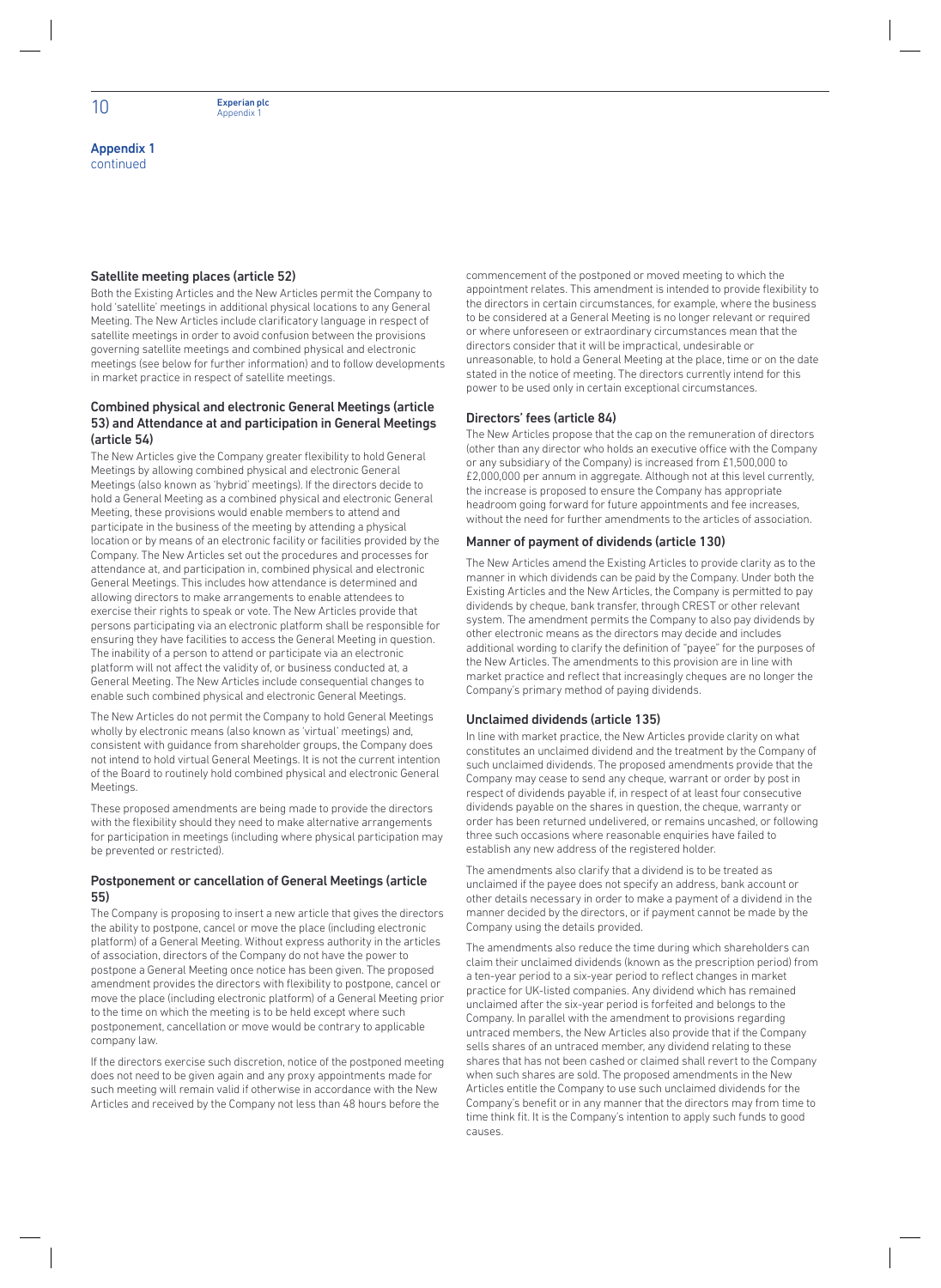Appendix 1 continued

#### Satellite meeting places (article 52)

Both the Existing Articles and the New Articles permit the Company to hold 'satellite' meetings in additional physical locations to any General Meeting. The New Articles include clarificatory language in respect of satellite meetings in order to avoid confusion between the provisions governing satellite meetings and combined physical and electronic meetings (see below for further information) and to follow developments in market practice in respect of satellite meetings.

#### Combined physical and electronic General Meetings (article 53) and Attendance at and participation in General Meetings (article 54)

The New Articles give the Company greater flexibility to hold General Meetings by allowing combined physical and electronic General Meetings (also known as 'hybrid' meetings). If the directors decide to hold a General Meeting as a combined physical and electronic General Meeting, these provisions would enable members to attend and participate in the business of the meeting by attending a physical location or by means of an electronic facility or facilities provided by the Company. The New Articles set out the procedures and processes for attendance at, and participation in, combined physical and electronic General Meetings. This includes how attendance is determined and allowing directors to make arrangements to enable attendees to exercise their rights to speak or vote. The New Articles provide that persons participating via an electronic platform shall be responsible for ensuring they have facilities to access the General Meeting in question. The inability of a person to attend or participate via an electronic platform will not affect the validity of, or business conducted at, a General Meeting. The New Articles include consequential changes to enable such combined physical and electronic General Meetings.

The New Articles do not permit the Company to hold General Meetings wholly by electronic means (also known as 'virtual' meetings) and, consistent with guidance from shareholder groups, the Company does not intend to hold virtual General Meetings. It is not the current intention of the Board to routinely hold combined physical and electronic General Meetings.

These proposed amendments are being made to provide the directors with the flexibility should they need to make alternative arrangements for participation in meetings (including where physical participation may be prevented or restricted).

#### Postponement or cancellation of General Meetings (article 55)

The Company is proposing to insert a new article that gives the directors the ability to postpone, cancel or move the place (including electronic platform) of a General Meeting. Without express authority in the articles of association, directors of the Company do not have the power to postpone a General Meeting once notice has been given. The proposed amendment provides the directors with flexibility to postpone, cancel or move the place (including electronic platform) of a General Meeting prior to the time on which the meeting is to be held except where such postponement, cancellation or move would be contrary to applicable company law.

If the directors exercise such discretion, notice of the postponed meeting does not need to be given again and any proxy appointments made for such meeting will remain valid if otherwise in accordance with the New Articles and received by the Company not less than 48 hours before the

commencement of the postponed or moved meeting to which the appointment relates. This amendment is intended to provide flexibility to the directors in certain circumstances, for example, where the business to be considered at a General Meeting is no longer relevant or required or where unforeseen or extraordinary circumstances mean that the directors consider that it will be impractical, undesirable or unreasonable, to hold a General Meeting at the place, time or on the date stated in the notice of meeting. The directors currently intend for this power to be used only in certain exceptional circumstances.

#### Directors' fees (article 84)

The New Articles propose that the cap on the remuneration of directors (other than any director who holds an executive office with the Company or any subsidiary of the Company) is increased from £1,500,000 to £2,000,000 per annum in aggregate. Although not at this level currently, the increase is proposed to ensure the Company has appropriate headroom going forward for future appointments and fee increases, without the need for further amendments to the articles of association.

#### Manner of payment of dividends (article 130)

The New Articles amend the Existing Articles to provide clarity as to the manner in which dividends can be paid by the Company. Under both the Existing Articles and the New Articles, the Company is permitted to pay dividends by cheque, bank transfer, through CREST or other relevant system. The amendment permits the Company to also pay dividends by other electronic means as the directors may decide and includes additional wording to clarify the definition of "payee" for the purposes of the New Articles. The amendments to this provision are in line with market practice and reflect that increasingly cheques are no longer the Company's primary method of paying dividends.

#### Unclaimed dividends (article 135)

In line with market practice, the New Articles provide clarity on what constitutes an unclaimed dividend and the treatment by the Company of such unclaimed dividends. The proposed amendments provide that the Company may cease to send any cheque, warrant or order by post in respect of dividends payable if, in respect of at least four consecutive dividends payable on the shares in question, the cheque, warranty or order has been returned undelivered, or remains uncashed, or following three such occasions where reasonable enquiries have failed to establish any new address of the registered holder.

The amendments also clarify that a dividend is to be treated as unclaimed if the payee does not specify an address, bank account or other details necessary in order to make a payment of a dividend in the manner decided by the directors, or if payment cannot be made by the Company using the details provided.

The amendments also reduce the time during which shareholders can claim their unclaimed dividends (known as the prescription period) from a ten-year period to a six-year period to reflect changes in market practice for UK-listed companies. Any dividend which has remained unclaimed after the six-year period is forfeited and belongs to the Company. In parallel with the amendment to provisions regarding untraced members, the New Articles also provide that if the Company sells shares of an untraced member, any dividend relating to these shares that has not been cashed or claimed shall revert to the Company when such shares are sold. The proposed amendments in the New Articles entitle the Company to use such unclaimed dividends for the Company's benefit or in any manner that the directors may from time to time think fit. It is the Company's intention to apply such funds to good causes.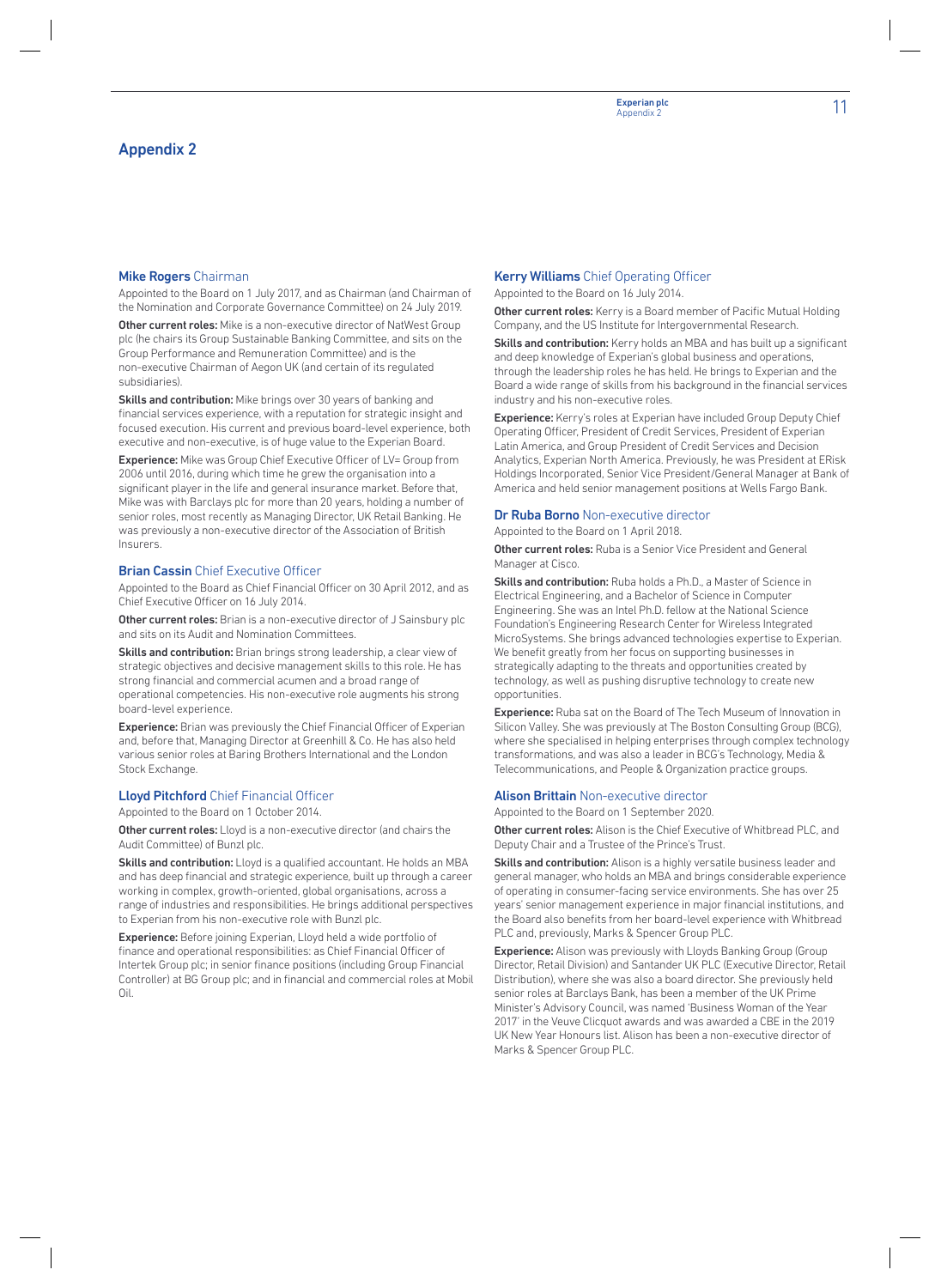Appointed to the Board on 1 July 2017, and as Chairman (and Chairman of the Nomination and Corporate Governance Committee) on 24 July 2019.

Other current roles: Mike is a non-executive director of NatWest Group plc (he chairs its Group Sustainable Banking Committee, and sits on the Group Performance and Remuneration Committee) and is the non-executive Chairman of Aegon UK (and certain of its regulated subsidiaries).

Skills and contribution: Mike brings over 30 years of banking and financial services experience, with a reputation for strategic insight and focused execution. His current and previous board-level experience, both executive and non-executive, is of huge value to the Experian Board.

**Experience:** Mike was Group Chief Executive Officer of LV= Group from 2006 until 2016, during which time he grew the organisation into a significant player in the life and general insurance market. Before that, Mike was with Barclays plc for more than 20 years, holding a number of senior roles, most recently as Managing Director, UK Retail Banking. He was previously a non-executive director of the Association of British Insurers.

#### **Brian Cassin** Chief Executive Officer

Appointed to the Board as Chief Financial Officer on 30 April 2012, and as Chief Executive Officer on 16 July 2014.

Other current roles: Brian is a non-executive director of J Sainsbury plc and sits on its Audit and Nomination Committees.

Skills and contribution: Brian brings strong leadership, a clear view of strategic objectives and decisive management skills to this role. He has strong financial and commercial acumen and a broad range of operational competencies. His non-executive role augments his strong board-level experience.

**Experience:** Brian was previously the Chief Financial Officer of Experian and, before that, Managing Director at Greenhill & Co. He has also held various senior roles at Baring Brothers International and the London Stock Exchange.

#### Lloyd Pitchford Chief Financial Officer

Appointed to the Board on 1 October 2014.

Other current roles: Lloyd is a non-executive director (and chairs the Audit Committee) of Bunzl plc.

Skills and contribution: Lloyd is a qualified accountant. He holds an MBA and has deep financial and strategic experience, built up through a career working in complex, growth-oriented, global organisations, across a range of industries and responsibilities. He brings additional perspectives to Experian from his non-executive role with Bunzl plc.

Experience: Before joining Experian, Lloyd held a wide portfolio of finance and operational responsibilities: as Chief Financial Officer of Intertek Group plc; in senior finance positions (including Group Financial Controller) at BG Group plc; and in financial and commercial roles at Mobil Oil.

#### **Kerry Williams** Chief Operating Officer

Appointed to the Board on 16 July 2014.

Other current roles: Kerry is a Board member of Pacific Mutual Holding Company, and the US Institute for Intergovernmental Research.

Skills and contribution: Kerry holds an MBA and has built up a significant and deep knowledge of Experian's global business and operations, through the leadership roles he has held. He brings to Experian and the Board a wide range of skills from his background in the financial services industry and his non-executive roles.

Experience: Kerry's roles at Experian have included Group Deputy Chief Operating Officer, President of Credit Services, President of Experian Latin America, and Group President of Credit Services and Decision Analytics, Experian North America. Previously, he was President at ERisk Holdings Incorporated, Senior Vice President/General Manager at Bank of America and held senior management positions at Wells Fargo Bank.

#### Dr Ruba Borno Non-executive director

Appointed to the Board on 1 April 2018.

Other current roles: Ruba is a Senior Vice President and General Manager at Cisco.

Skills and contribution: Ruba holds a Ph.D., a Master of Science in Electrical Engineering, and a Bachelor of Science in Computer Engineering. She was an Intel Ph.D. fellow at the National Science Foundation's Engineering Research Center for Wireless Integrated MicroSystems. She brings advanced technologies expertise to Experian. We benefit greatly from her focus on supporting businesses in strategically adapting to the threats and opportunities created by technology, as well as pushing disruptive technology to create new opportunities.

Experience: Ruba sat on the Board of The Tech Museum of Innovation in Silicon Valley. She was previously at The Boston Consulting Group (BCG), where she specialised in helping enterprises through complex technology transformations, and was also a leader in BCG's Technology, Media & Telecommunications, and People & Organization practice groups.

#### **Alison Brittain Non-executive director**

Appointed to the Board on 1 September 2020.

Other current roles: Alison is the Chief Executive of Whitbread PLC, and Deputy Chair and a Trustee of the Prince's Trust.

Skills and contribution: Alison is a highly versatile business leader and general manager, who holds an MBA and brings considerable experience of operating in consumer-facing service environments. She has over 25 years' senior management experience in major financial institutions, and the Board also benefits from her board-level experience with Whitbread PLC and, previously, Marks & Spencer Group PLC.

Experience: Alison was previously with Lloyds Banking Group (Group Director, Retail Division) and Santander UK PLC (Executive Director, Retail Distribution), where she was also a board director. She previously held senior roles at Barclays Bank, has been a member of the UK Prime Minister's Advisory Council, was named 'Business Woman of the Year 2017' in the Veuve Clicquot awards and was awarded a CBE in the 2019 UK New Year Honours list. Alison has been a non-executive director of Marks & Spencer Group PLC.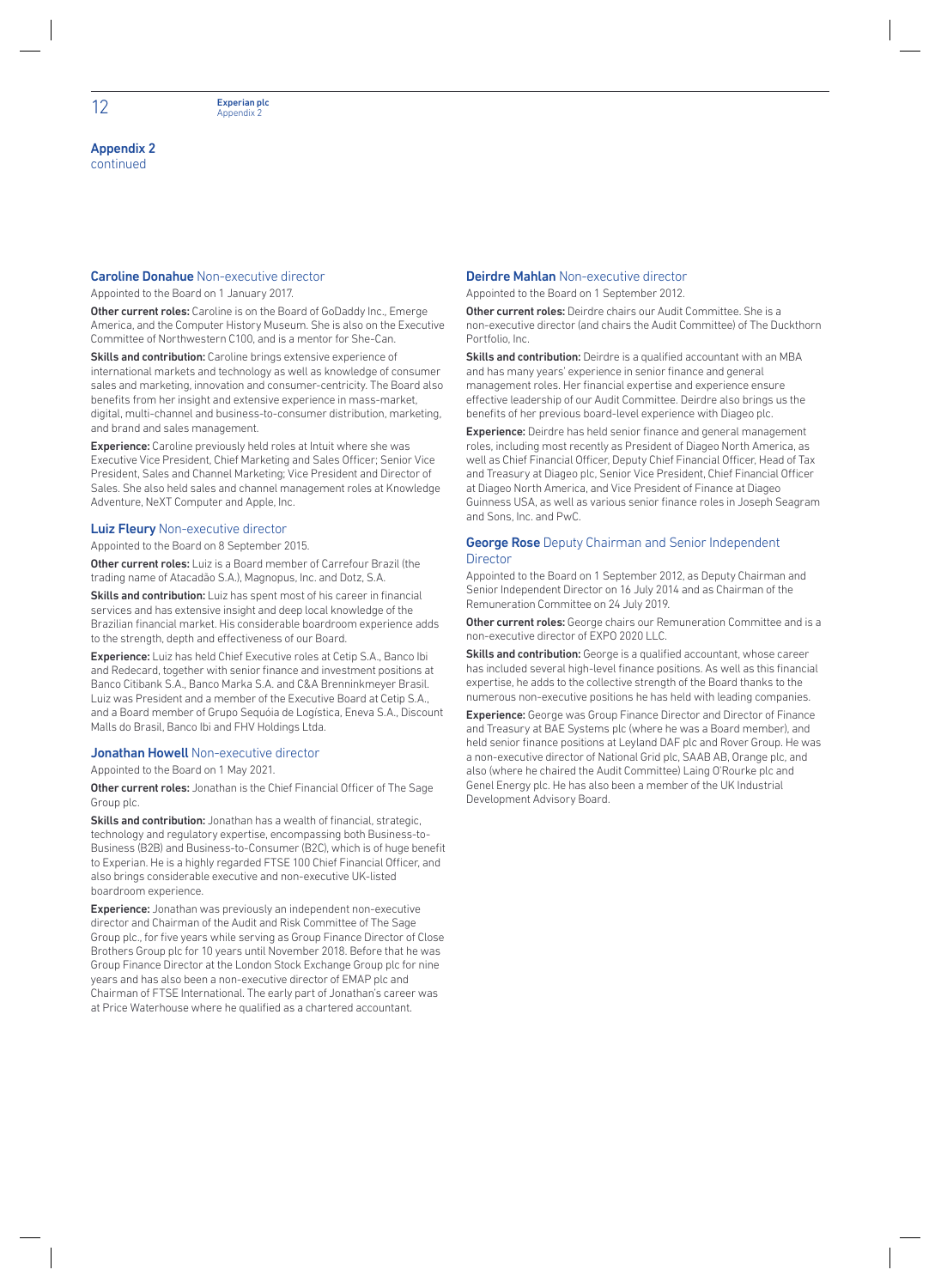#### Caroline Donahue Non-executive director

Appointed to the Board on 1 January 2017.

Other current roles: Caroline is on the Board of GoDaddy Inc., Emerge America, and the Computer History Museum. She is also on the Executive Committee of Northwestern C100, and is a mentor for She-Can.

Skills and contribution: Caroline brings extensive experience of international markets and technology as well as knowledge of consumer sales and marketing, innovation and consumer-centricity. The Board also benefits from her insight and extensive experience in mass-market, digital, multi-channel and business-to-consumer distribution, marketing, and brand and sales management.

**Experience:** Caroline previously held roles at Intuit where she was Executive Vice President, Chief Marketing and Sales Officer; Senior Vice President, Sales and Channel Marketing; Vice President and Director of Sales. She also held sales and channel management roles at Knowledge Adventure, NeXT Computer and Apple, Inc.

#### Luiz Fleury Non-executive director

Appointed to the Board on 8 September 2015.

Other current roles: Luiz is a Board member of Carrefour Brazil (the trading name of Atacadão S.A.), Magnopus, Inc. and Dotz, S.A.

Skills and contribution: Luiz has spent most of his career in financial services and has extensive insight and deep local knowledge of the Brazilian financial market. His considerable boardroom experience adds to the strength, depth and effectiveness of our Board.

Experience: Luiz has held Chief Executive roles at Cetip S.A., Banco Ibi and Redecard, together with senior finance and investment positions at Banco Citibank S.A., Banco Marka S.A. and C&A Brenninkmeyer Brasil. Luiz was President and a member of the Executive Board at Cetip S.A., and a Board member of Grupo Sequóia de Logística, Eneva S.A., Discount Malls do Brasil, Banco Ibi and FHV Holdings Ltda.

#### **Jonathan Howell Non-executive director**

Appointed to the Board on 1 May 2021.

Other current roles: Jonathan is the Chief Financial Officer of The Sage Group plc.

Skills and contribution: Jonathan has a wealth of financial, strategic, technology and regulatory expertise, encompassing both Business-to-Business (B2B) and Business-to-Consumer (B2C), which is of huge benefit to Experian. He is a highly regarded FTSE 100 Chief Financial Officer, and also brings considerable executive and non-executive UK-listed boardroom experience.

Experience: Jonathan was previously an independent non-executive director and Chairman of the Audit and Risk Committee of The Sage Group plc., for five years while serving as Group Finance Director of Close Brothers Group plc for 10 years until November 2018. Before that he was Group Finance Director at the London Stock Exchange Group plc for nine years and has also been a non-executive director of EMAP plc and Chairman of FTSE International. The early part of Jonathan's career was at Price Waterhouse where he qualified as a chartered accountant.

#### Deirdre Mahlan Non-executive director

Appointed to the Board on 1 September 2012.

Other current roles: Deirdre chairs our Audit Committee. She is a non-executive director (and chairs the Audit Committee) of The Duckthorn Portfolio, Inc.

Skills and contribution: Deirdre is a qualified accountant with an MBA and has many years' experience in senior finance and general management roles. Her financial expertise and experience ensure effective leadership of our Audit Committee. Deirdre also brings us the benefits of her previous board-level experience with Diageo plc.

Experience: Deirdre has held senior finance and general management roles, including most recently as President of Diageo North America, as well as Chief Financial Officer, Deputy Chief Financial Officer, Head of Tax and Treasury at Diageo plc, Senior Vice President, Chief Financial Officer at Diageo North America, and Vice President of Finance at Diageo Guinness USA, as well as various senior finance roles in Joseph Seagram and Sons, Inc. and PwC.

#### **George Rose** Deputy Chairman and Senior Independent **Director**

Appointed to the Board on 1 September 2012, as Deputy Chairman and Senior Independent Director on 16 July 2014 and as Chairman of the Remuneration Committee on 24 July 2019.

Other current roles: George chairs our Remuneration Committee and is a non-executive director of EXPO 2020 LLC.

Skills and contribution: George is a qualified accountant, whose career has included several high-level finance positions. As well as this financial expertise, he adds to the collective strength of the Board thanks to the numerous non-executive positions he has held with leading companies.

Experience: George was Group Finance Director and Director of Finance and Treasury at BAE Systems plc (where he was a Board member), and held senior finance positions at Leyland DAF plc and Rover Group. He was a non-executive director of National Grid plc, SAAB AB, Orange plc, and also (where he chaired the Audit Committee) Laing O'Rourke plc and Genel Energy plc. He has also been a member of the UK Industrial Development Advisory Board.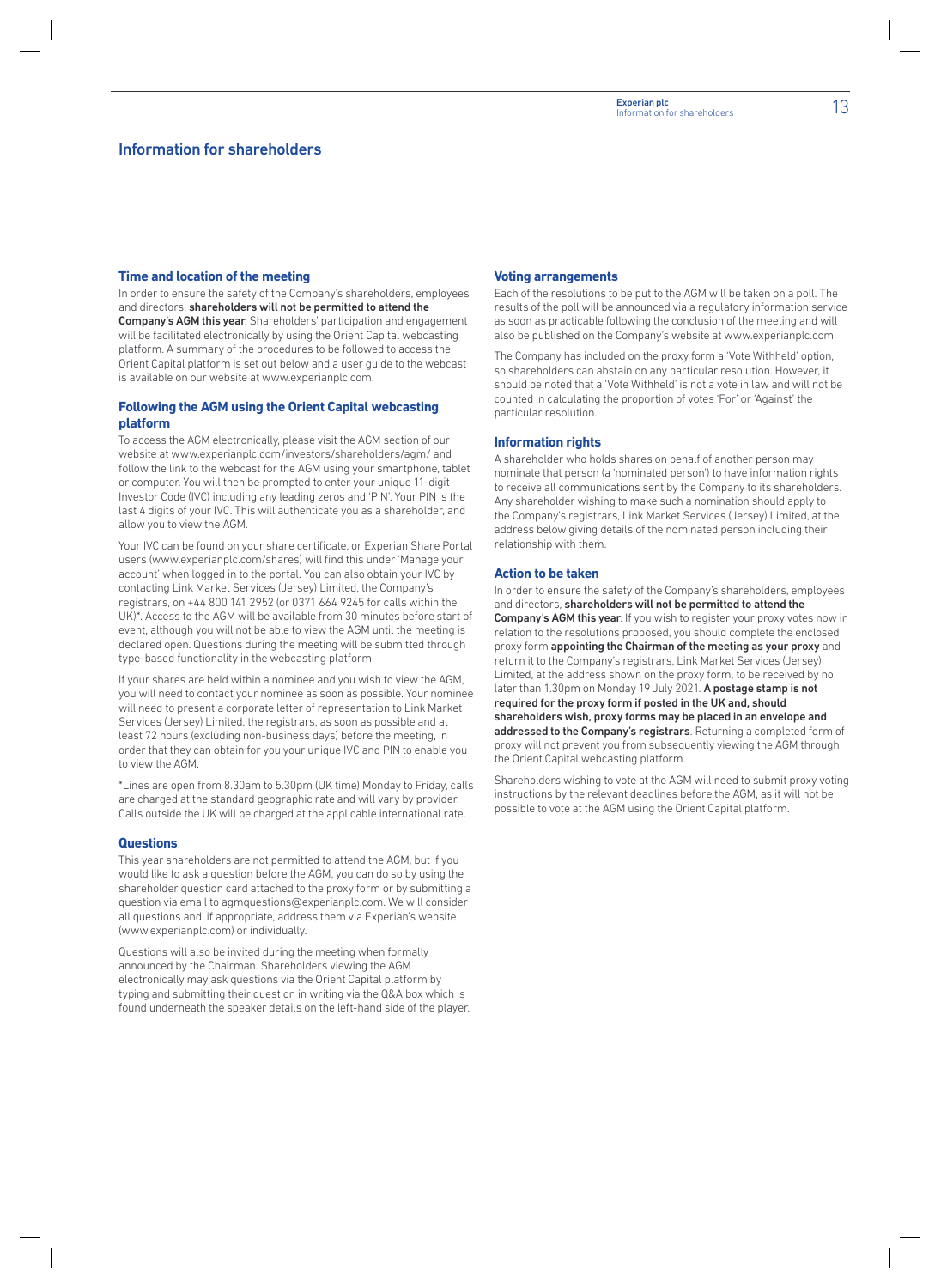#### **Time and location of the meeting**

In order to ensure the safety of the Company's shareholders, employees and directors, shareholders will not be permitted to attend the Company's AGM this year. Shareholders' participation and engagement will be facilitated electronically by using the Orient Capital webcasting platform. A summary of the procedures to be followed to access the Orient Capital platform is set out below and a user guide to the webcast is available on our website at www.experianplc.com.

#### **Following the AGM using the Orient Capital webcasting platform**

To access the AGM electronically, please visit the AGM section of our website at www.experianplc.com/investors/shareholders/agm/ and follow the link to the webcast for the AGM using your smartphone, tablet or computer. You will then be prompted to enter your unique 11-digit Investor Code (IVC) including any leading zeros and 'PIN'. Your PIN is the last 4 digits of your IVC. This will authenticate you as a shareholder, and allow you to view the AGM.

Your IVC can be found on your share certificate, or Experian Share Portal users (www.experianplc.com/shares) will find this under 'Manage your account' when logged in to the portal. You can also obtain your IVC by contacting Link Market Services (Jersey) Limited, the Company's registrars, on +44 800 141 2952 (or 0371 664 9245 for calls within the UK)\*. Access to the AGM will be available from 30 minutes before start of event, although you will not be able to view the AGM until the meeting is declared open. Questions during the meeting will be submitted through type-based functionality in the webcasting platform.

If your shares are held within a nominee and you wish to view the AGM, you will need to contact your nominee as soon as possible. Your nominee will need to present a corporate letter of representation to Link Market Services (Jersey) Limited, the registrars, as soon as possible and at least 72 hours (excluding non-business days) before the meeting, in order that they can obtain for you your unique IVC and PIN to enable you to view the AGM.

\*Lines are open from 8.30am to 5.30pm (UK time) Monday to Friday, calls are charged at the standard geographic rate and will vary by provider. Calls outside the UK will be charged at the applicable international rate.

#### **Questions**

This year shareholders are not permitted to attend the AGM, but if you would like to ask a question before the AGM, you can do so by using the shareholder question card attached to the proxy form or by submitting a question via email to agmquestions@experianplc.com. We will consider all questions and, if appropriate, address them via Experian's website (www.experianplc.com) or individually.

Questions will also be invited during the meeting when formally announced by the Chairman. Shareholders viewing the AGM electronically may ask questions via the Orient Capital platform by typing and submitting their question in writing via the Q&A box which is found underneath the speaker details on the left-hand side of the player.

#### **Voting arrangements**

Each of the resolutions to be put to the AGM will be taken on a poll. The results of the poll will be announced via a regulatory information service as soon as practicable following the conclusion of the meeting and will also be published on the Company's website at www.experianplc.com.

The Company has included on the proxy form a 'Vote Withheld' option, so shareholders can abstain on any particular resolution. However, it should be noted that a 'Vote Withheld' is not a vote in law and will not be counted in calculating the proportion of votes 'For' or 'Against' the particular resolution.

#### **Information rights**

A shareholder who holds shares on behalf of another person may nominate that person (a 'nominated person') to have information rights to receive all communications sent by the Company to its shareholders. Any shareholder wishing to make such a nomination should apply to the Company's registrars, Link Market Services (Jersey) Limited, at the address below giving details of the nominated person including their relationship with them.

#### **Action to be taken**

In order to ensure the safety of the Company's shareholders, employees and directors, shareholders will not be permitted to attend the Company's AGM this year. If you wish to register your proxy votes now in relation to the resolutions proposed, you should complete the enclosed proxy form appointing the Chairman of the meeting as your proxy and return it to the Company's registrars, Link Market Services (Jersey) Limited, at the address shown on the proxy form, to be received by no later than 1.30pm on Monday 19 July 2021. A postage stamp is not required for the proxy form if posted in the UK and, should shareholders wish, proxy forms may be placed in an envelope and addressed to the Company's registrars. Returning a completed form of proxy will not prevent you from subsequently viewing the AGM through the Orient Capital webcasting platform.

Shareholders wishing to vote at the AGM will need to submit proxy voting instructions by the relevant deadlines before the AGM, as it will not be possible to vote at the AGM using the Orient Capital platform.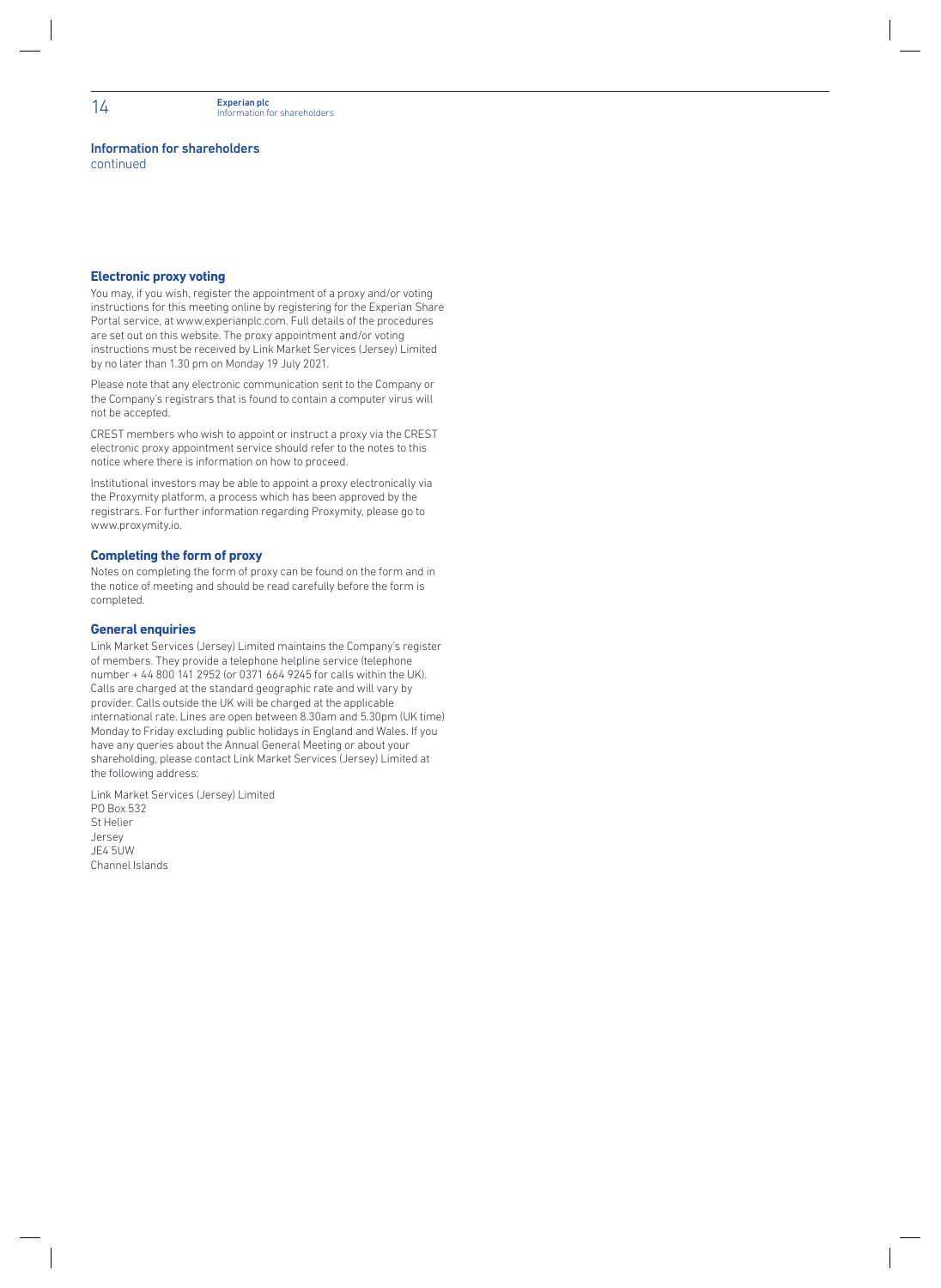#### Information for shareholders

continued

#### **Electronic proxy voting**

You may, if you wish, register the appointment of a proxy and/or voting instructions for this meeting online by registering for the Experian Share Portal service, at www.experianplc.com. Full details of the procedures are set out on this website. The proxy appointment and/or voting instructions must be received by Link Market Services (Jersey) Limited by no later than 1.30 pm on Monday 19 July 2021.

Please note that any electronic communication sent to the Company or the Company's registrars that is found to contain a computer virus will not be accepted.

CREST members who wish to appoint or instruct a proxy via the CREST electronic proxy appointment service should refer to the notes to this notice where there is information on how to proceed.

Institutional investors may be able to appoint a proxy electronically via the Proxymity platform, a process which has been approved by the registrars. For further information regarding Proxymity, please go to www.proxymity.io.

#### **Completing the form of proxy**

Notes on completing the form of proxy can be found on the form and in the notice of meeting and should be read carefully before the form is completed.

#### **General enquiries**

Link Market Services (Jersey) Limited maintains the Company's register of members. They provide a telephone helpline service (telephone number + 44 800 141 2952 (or 0371 664 9245 for calls within the UK). Calls are charged at the standard geographic rate and will vary by provider. Calls outside the UK will be charged at the applicable international rate. Lines are open between 8.30am and 5.30pm (UK time) Monday to Friday excluding public holidays in England and Wales. If you have any queries about the Annual General Meeting or about your shareholding, please contact Link Market Services (Jersey) Limited at the following address:

Link Market Services (Jersey) Limited PO Box 532 St Helier Jersey JE4 5UW Channel Islands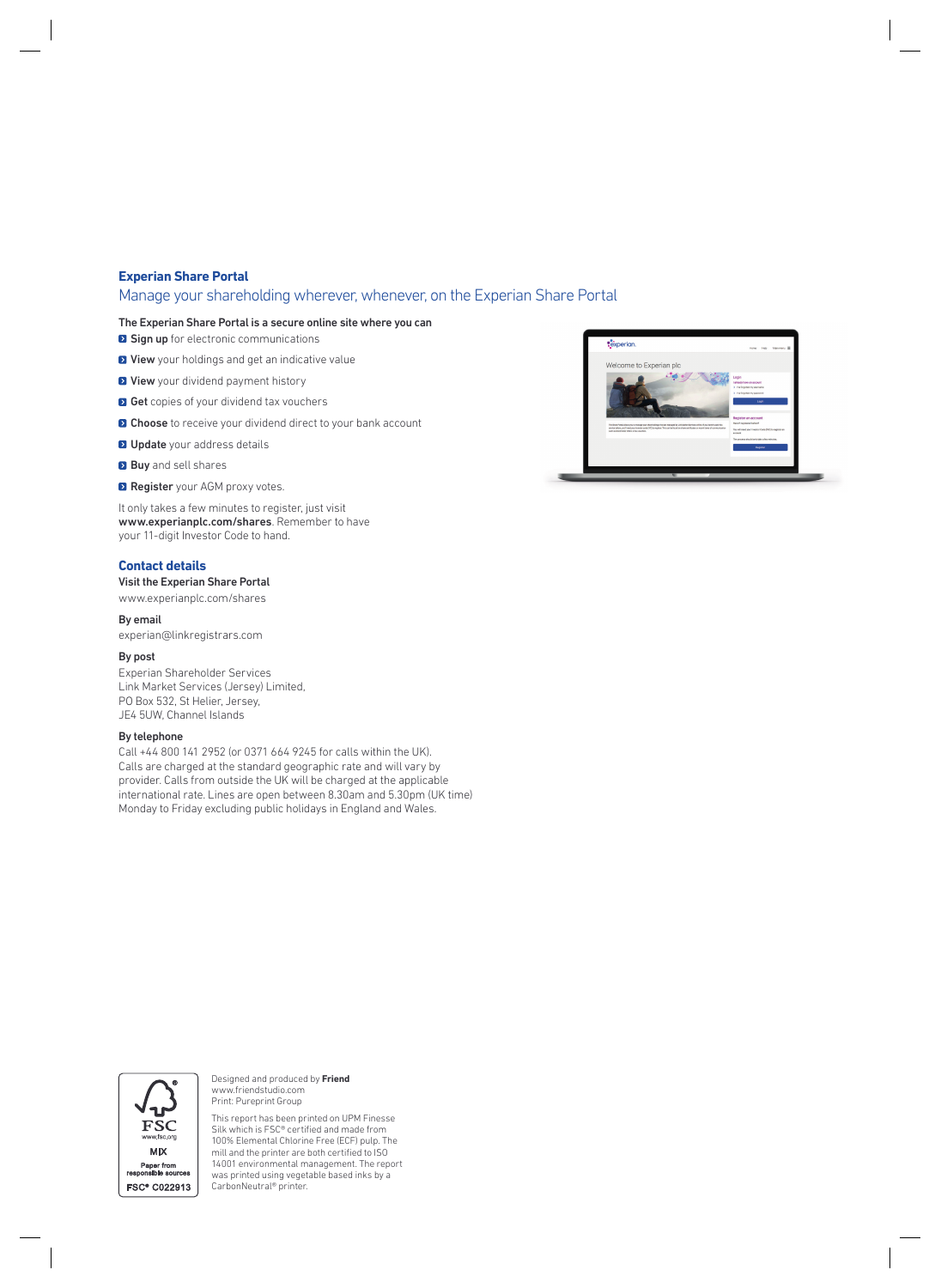#### **Experian Share Portal**

#### Manage your shareholding wherever, whenever, on the Experian Share Portal

#### The Experian Share Portal is a secure online site where you can

**Sign up** for electronic communications

- **D** View your holdings and get an indicative value
- **D** View your dividend payment history
- **B** Get copies of your dividend tax vouchers
- **D** Choose to receive your dividend direct to your bank account
- **D** Update your address details
- **Buy** and sell shares
- **Register** your AGM proxy votes.

It only takes a few minutes to register, just visit www.experianplc.com/shares. Remember to have your 11-digit Investor Code to hand.

#### **Contact details**

#### Visit the Experian Share Portal

www.experianplc.com/shares

#### By email

experian@linkregistrars.com

#### By post

Experian Shareholder Services Link Market Services (Jersey) Limited, PO Box 532, St Helier, Jersey, JE4 5UW, Channel Islands

#### By telephone

Call +44 800 141 2952 (or 0371 664 9245 for calls within the UK). Calls are charged at the standard geographic rate and will vary by provider. Calls from outside the UK will be charged at the applicable international rate. Lines are open between 8.30am and 5.30pm (UK time) Monday to Friday excluding public holidays in England and Wales.





Designed and produced by **Friend** www.friendstudio.com Print: Pureprint Group

This report has been printed on UPM Finesse Silk which is FSC® certified and made from 100% Elemental Chlorine Free (ECF) pulp. The mill and the printer are both certified to ISO 14001 environmental management. The report was printed using vegetable based inks by a CarbonNeutral® printer.